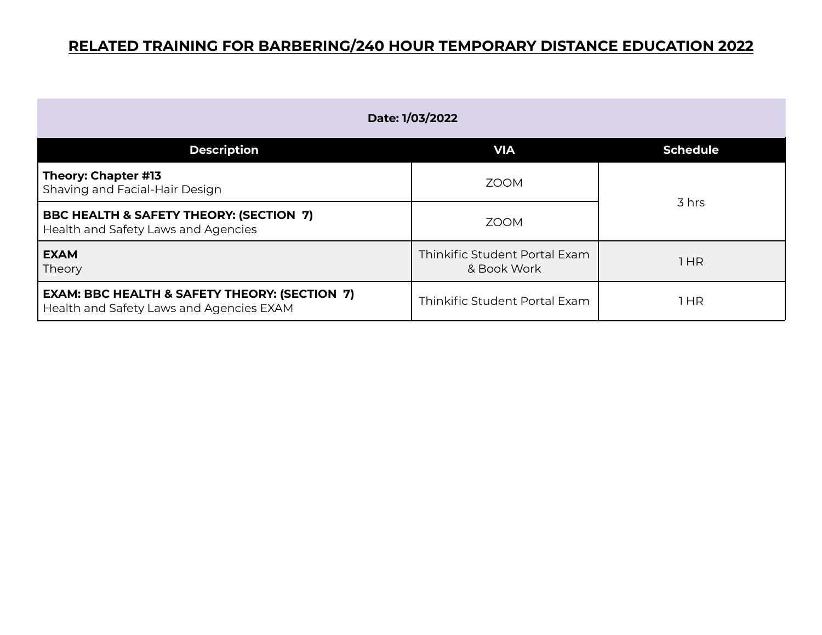| Date: 1/03/2022                                                                                      |                                              |                 |
|------------------------------------------------------------------------------------------------------|----------------------------------------------|-----------------|
| <b>Description</b>                                                                                   | <b>VIA</b>                                   | <b>Schedule</b> |
| Theory: Chapter #13<br>Shaving and Facial-Hair Design                                                | <b>ZOOM</b>                                  | 3 hrs           |
| BBC HEALTH & SAFETY THEORY: (SECTION 7)<br>Health and Safety Laws and Agencies                       | <b>ZOOM</b>                                  |                 |
| <b>EXAM</b><br>Theory                                                                                | Thinkific Student Portal Exam<br>& Book Work | 1 HR            |
| <b>EXAM: BBC HEALTH &amp; SAFETY THEORY: (SECTION 7)</b><br>Health and Safety Laws and Agencies EXAM | Thinkific Student Portal Exam                | 1 HR            |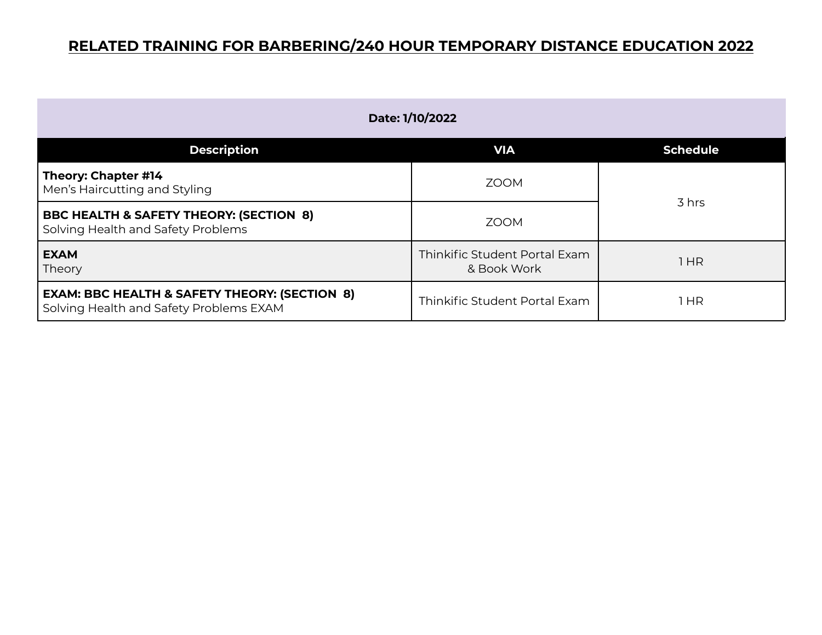| Date: 1/10/2022                                                                                     |                                              |                 |
|-----------------------------------------------------------------------------------------------------|----------------------------------------------|-----------------|
| <b>Description</b>                                                                                  | <b>VIA</b>                                   | <b>Schedule</b> |
| Theory: Chapter #14<br>Men's Haircutting and Styling                                                | <b>ZOOM</b>                                  |                 |
| <b>BBC HEALTH &amp; SAFETY THEORY: (SECTION 8)</b><br>Solving Health and Safety Problems            | <b>ZOOM</b>                                  | 3 hrs           |
| <b>EXAM</b><br>Theory                                                                               | Thinkific Student Portal Exam<br>& Book Work | 1HR             |
| <b>EXAM: BBC HEALTH &amp; SAFETY THEORY: (SECTION 8)</b><br>Solving Health and Safety Problems EXAM | Thinkific Student Portal Exam                | HR              |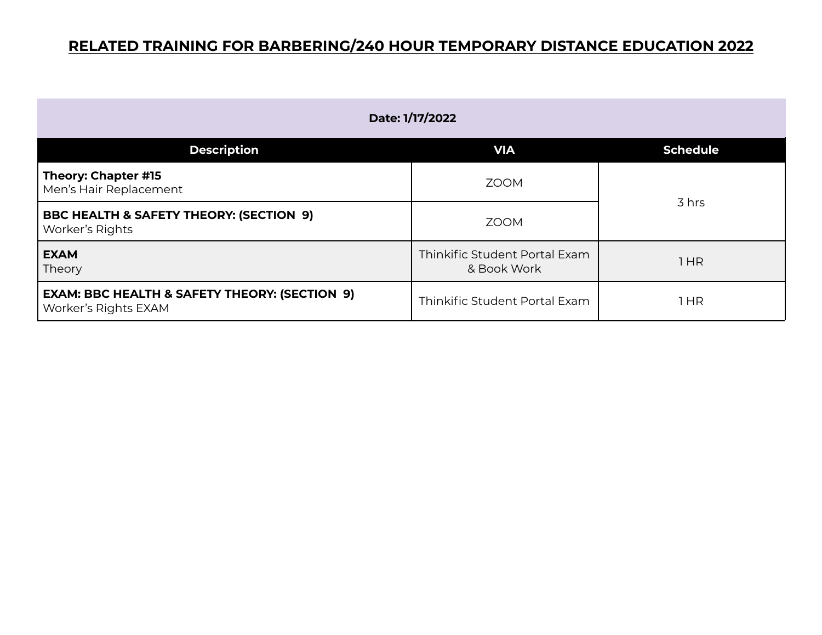| Date: 1/17/2022                                                                  |                                              |                 |
|----------------------------------------------------------------------------------|----------------------------------------------|-----------------|
| <b>Description</b>                                                               | <b>VIA</b>                                   | <b>Schedule</b> |
| Theory: Chapter #15<br>Men's Hair Replacement                                    | <b>ZOOM</b>                                  | 3 hrs           |
| <b>BBC HEALTH &amp; SAFETY THEORY: (SECTION 9)</b><br>Worker's Rights            | <b>ZOOM</b>                                  |                 |
| <b>EXAM</b><br>Theory                                                            | Thinkific Student Portal Exam<br>& Book Work | 1HR             |
| <b>EXAM: BBC HEALTH &amp; SAFETY THEORY: (SECTION 9)</b><br>Worker's Rights EXAM | Thinkific Student Portal Exam                | 1 HR            |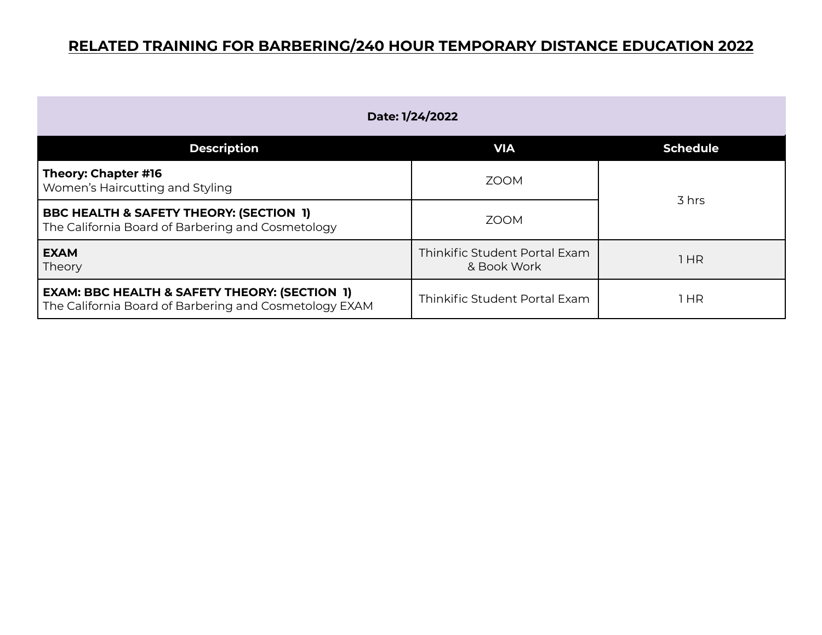| Date: 1/24/2022                                                                                                    |                                              |                 |
|--------------------------------------------------------------------------------------------------------------------|----------------------------------------------|-----------------|
| <b>Description</b>                                                                                                 | <b>VIA</b>                                   | <b>Schedule</b> |
| Theory: Chapter #16<br>Women's Haircutting and Styling                                                             | <b>ZOOM</b>                                  |                 |
| <b>BBC HEALTH &amp; SAFETY THEORY: (SECTION 1)</b><br>The California Board of Barbering and Cosmetology            | <b>ZOOM</b>                                  | 3 hrs           |
| <b>EXAM</b><br>Theory                                                                                              | Thinkific Student Portal Exam<br>& Book Work | 1HR             |
| <b>EXAM: BBC HEALTH &amp; SAFETY THEORY: (SECTION 1)</b><br>The California Board of Barbering and Cosmetology EXAM | Thinkific Student Portal Exam                | 1 HR            |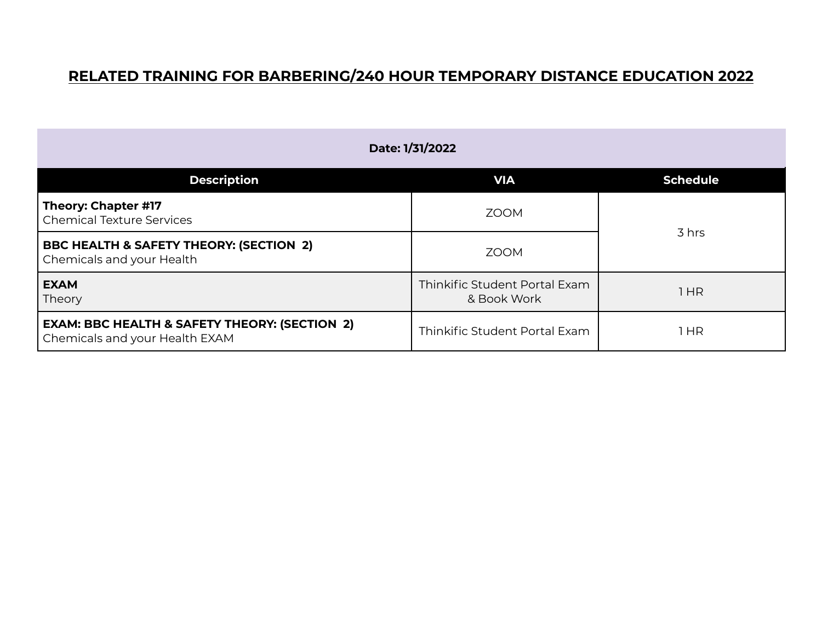| Date: 1/31/2022                                                                            |                                              |                 |
|--------------------------------------------------------------------------------------------|----------------------------------------------|-----------------|
| <b>Description</b>                                                                         | <b>VIA</b>                                   | <b>Schedule</b> |
| Theory: Chapter #17<br>Chemical Texture Services                                           | <b>ZOOM</b>                                  |                 |
| <b>BBC HEALTH &amp; SAFETY THEORY: (SECTION 2)</b><br>Chemicals and your Health            | <b>ZOOM</b>                                  | 3 hrs           |
| <b>EXAM</b><br>Theory                                                                      | Thinkific Student Portal Exam<br>& Book Work | 1 HR            |
| <b>EXAM: BBC HEALTH &amp; SAFETY THEORY: (SECTION 2)</b><br>Chemicals and your Health EXAM | Thinkific Student Portal Exam                | 1 HR            |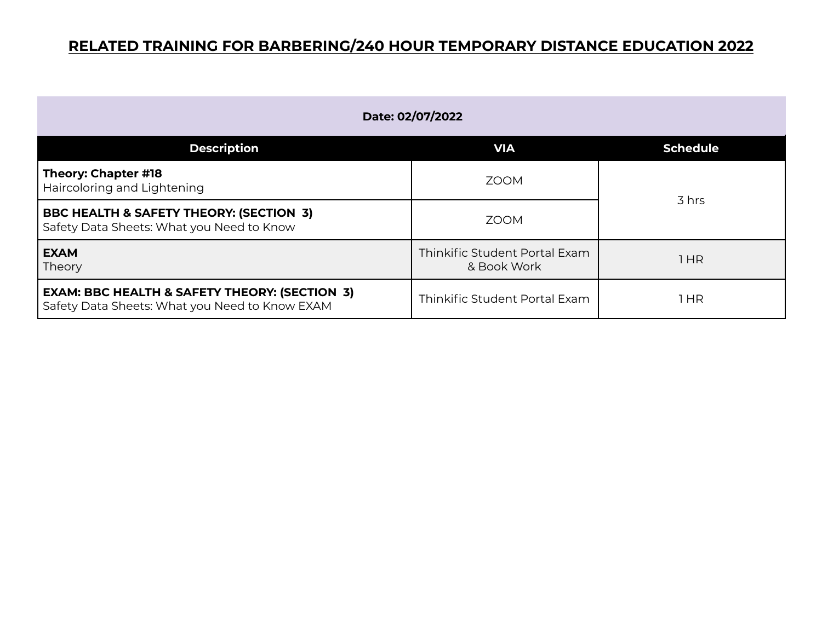| Date: 02/07/2022                                                                                           |                                              |                 |
|------------------------------------------------------------------------------------------------------------|----------------------------------------------|-----------------|
| <b>Description</b>                                                                                         | <b>VIA</b>                                   | <b>Schedule</b> |
| Theory: Chapter #18<br>Haircoloring and Lightening                                                         | <b>ZOOM</b>                                  |                 |
| BBC HEALTH & SAFETY THEORY: (SECTION 3)<br>Safety Data Sheets: What you Need to Know                       | <b>ZOOM</b>                                  | 3 hrs           |
| <b>EXAM</b><br>Theory                                                                                      | Thinkific Student Portal Exam<br>& Book Work | 1HR             |
| <b>EXAM: BBC HEALTH &amp; SAFETY THEORY: (SECTION 3)</b><br>Safety Data Sheets: What you Need to Know EXAM | Thinkific Student Portal Exam                | HR              |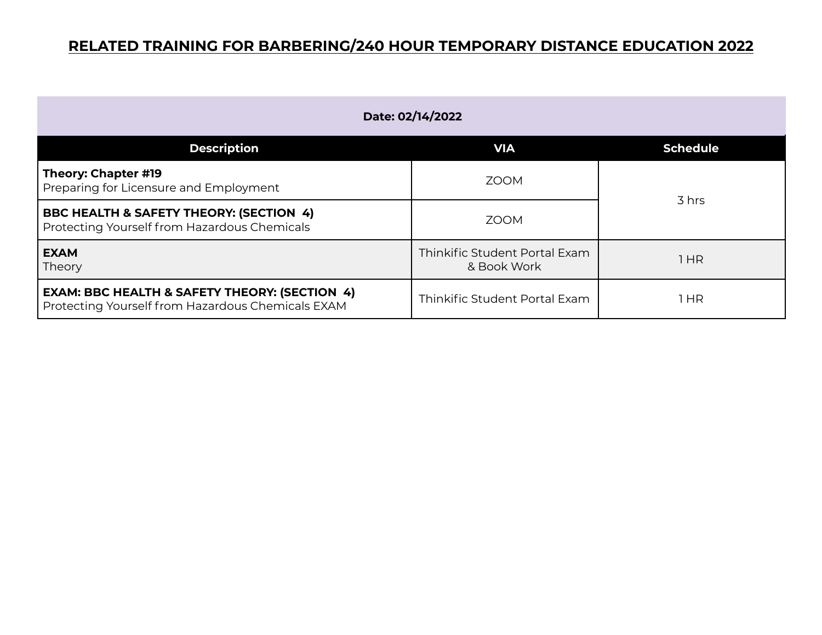| Date: 02/14/2022                                                                                              |                                              |                 |
|---------------------------------------------------------------------------------------------------------------|----------------------------------------------|-----------------|
| <b>Description</b>                                                                                            | <b>VIA</b>                                   | <b>Schedule</b> |
| Theory: Chapter #19<br>Preparing for Licensure and Employment                                                 | <b>ZOOM</b>                                  |                 |
| <b>BBC HEALTH &amp; SAFETY THEORY: (SECTION 4)</b><br>Protecting Yourself from Hazardous Chemicals            | <b>ZOOM</b>                                  | 3 hrs           |
| <b>EXAM</b><br>Theory                                                                                         | Thinkific Student Portal Exam<br>& Book Work | 1HR             |
| <b>EXAM: BBC HEALTH &amp; SAFETY THEORY: (SECTION 4)</b><br>Protecting Yourself from Hazardous Chemicals EXAM | Thinkific Student Portal Exam                | 1 HR            |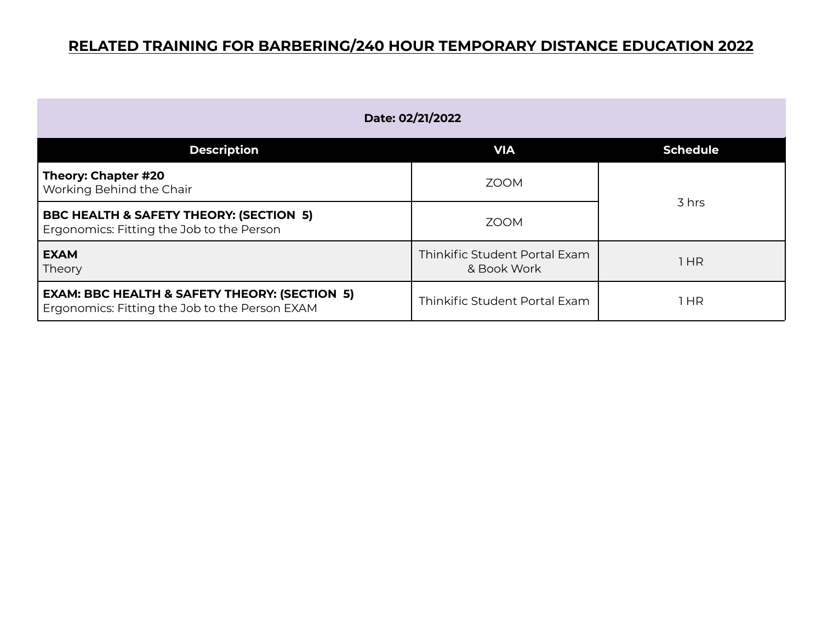| Date: 02/21/2022                                                                                           |                                              |                 |
|------------------------------------------------------------------------------------------------------------|----------------------------------------------|-----------------|
| <b>Description</b>                                                                                         | <b>VIA</b>                                   | <b>Schedule</b> |
| Theory: Chapter #20<br>Working Behind the Chair                                                            | <b>ZOOM</b>                                  |                 |
| <b>BBC HEALTH &amp; SAFETY THEORY: (SECTION 5)</b><br>Ergonomics: Fitting the Job to the Person            | <b>ZOOM</b>                                  | 3 hrs           |
| <b>EXAM</b><br>Theory                                                                                      | Thinkific Student Portal Exam<br>& Book Work | 1HR             |
| <b>EXAM: BBC HEALTH &amp; SAFETY THEORY: (SECTION 5)</b><br>Ergonomics: Fitting the Job to the Person EXAM | Thinkific Student Portal Exam                | HR              |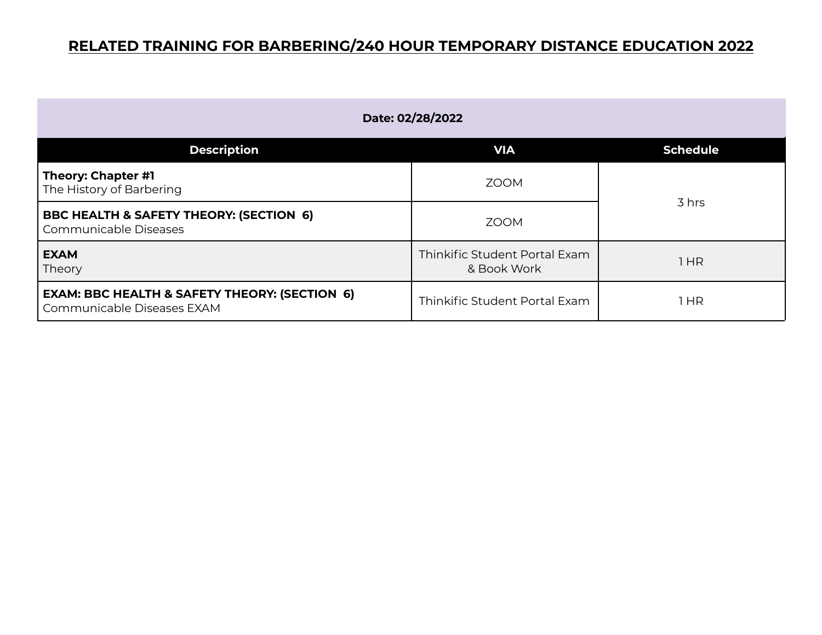| Date: 02/28/2022                                                                       |                                              |                 |
|----------------------------------------------------------------------------------------|----------------------------------------------|-----------------|
| <b>Description</b>                                                                     | <b>VIA</b>                                   | <b>Schedule</b> |
| Theory: Chapter #1<br>The History of Barbering                                         | <b>ZOOM</b>                                  | 3 hrs           |
| <b>BBC HEALTH &amp; SAFETY THEORY: (SECTION 6)</b><br>Communicable Diseases            | <b>ZOOM</b>                                  |                 |
| <b>EXAM</b><br>Theory                                                                  | Thinkific Student Portal Exam<br>& Book Work | 1HR             |
| <b>EXAM: BBC HEALTH &amp; SAFETY THEORY: (SECTION 6)</b><br>Communicable Diseases EXAM | Thinkific Student Portal Exam                | 1 HR            |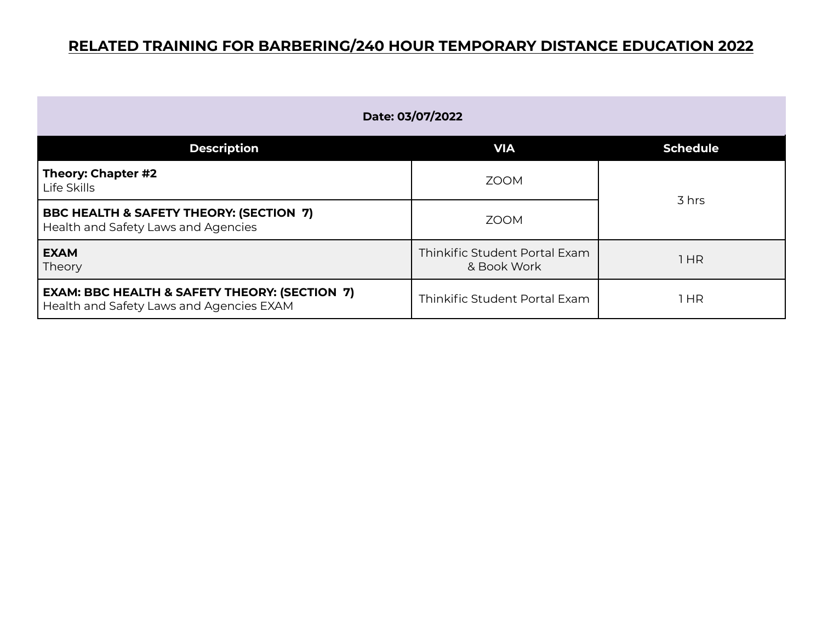| Date: 03/07/2022                                                                                     |                                              |                 |
|------------------------------------------------------------------------------------------------------|----------------------------------------------|-----------------|
| <b>Description</b>                                                                                   | <b>VIA</b>                                   | <b>Schedule</b> |
| Theory: Chapter #2<br>Life Skills                                                                    | <b>ZOOM</b>                                  |                 |
| <b>BBC HEALTH &amp; SAFETY THEORY: (SECTION 7)</b><br>Health and Safety Laws and Agencies            | <b>ZOOM</b>                                  | 3 hrs           |
| <b>EXAM</b><br>Theory                                                                                | Thinkific Student Portal Exam<br>& Book Work | 1HR             |
| <b>EXAM: BBC HEALTH &amp; SAFETY THEORY: (SECTION 7)</b><br>Health and Safety Laws and Agencies EXAM | Thinkific Student Portal Exam                | 1 HR            |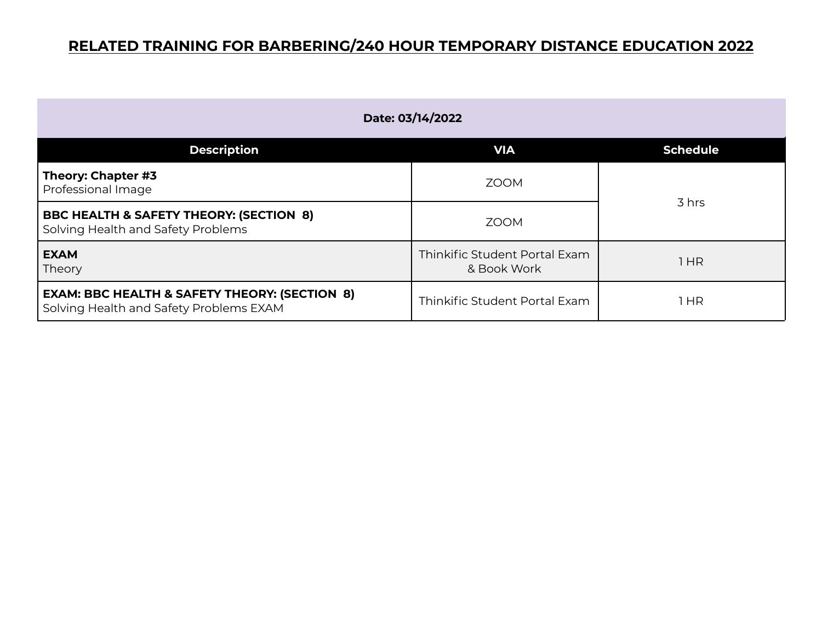| Date: 03/14/2022                                                                                    |                                              |                 |
|-----------------------------------------------------------------------------------------------------|----------------------------------------------|-----------------|
| <b>Description</b>                                                                                  | <b>VIA</b>                                   | <b>Schedule</b> |
| Theory: Chapter #3<br>Professional Image                                                            | <b>ZOOM</b>                                  | 3 hrs           |
| <b>BBC HEALTH &amp; SAFETY THEORY: (SECTION 8)</b><br>Solving Health and Safety Problems            | <b>ZOOM</b>                                  |                 |
| <b>EXAM</b><br>Theory                                                                               | Thinkific Student Portal Exam<br>& Book Work | 1HR             |
| <b>EXAM: BBC HEALTH &amp; SAFETY THEORY: (SECTION 8)</b><br>Solving Health and Safety Problems EXAM | Thinkific Student Portal Exam                | 1 HR            |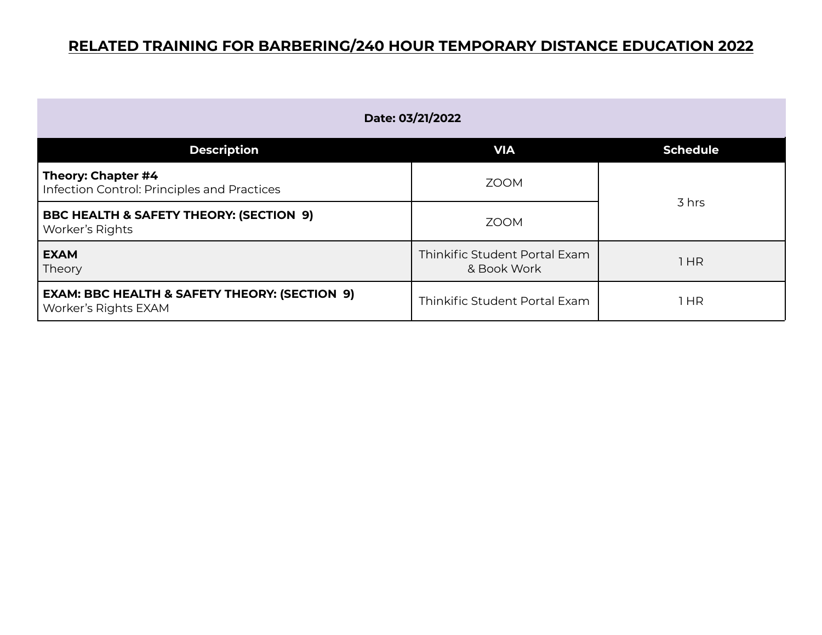| Date: 03/21/2022                                                                 |                                              |                 |
|----------------------------------------------------------------------------------|----------------------------------------------|-----------------|
| <b>Description</b>                                                               | <b>VIA</b>                                   | <b>Schedule</b> |
| Theory: Chapter #4<br>Infection Control: Principles and Practices                | <b>ZOOM</b>                                  |                 |
| <b>BBC HEALTH &amp; SAFETY THEORY: (SECTION 9)</b><br>Worker's Rights            | <b>ZOOM</b>                                  | 3 hrs           |
| <b>EXAM</b><br>Theory                                                            | Thinkific Student Portal Exam<br>& Book Work | 1 HR            |
| <b>EXAM: BBC HEALTH &amp; SAFETY THEORY: (SECTION 9)</b><br>Worker's Rights EXAM | Thinkific Student Portal Exam                | 1 HR            |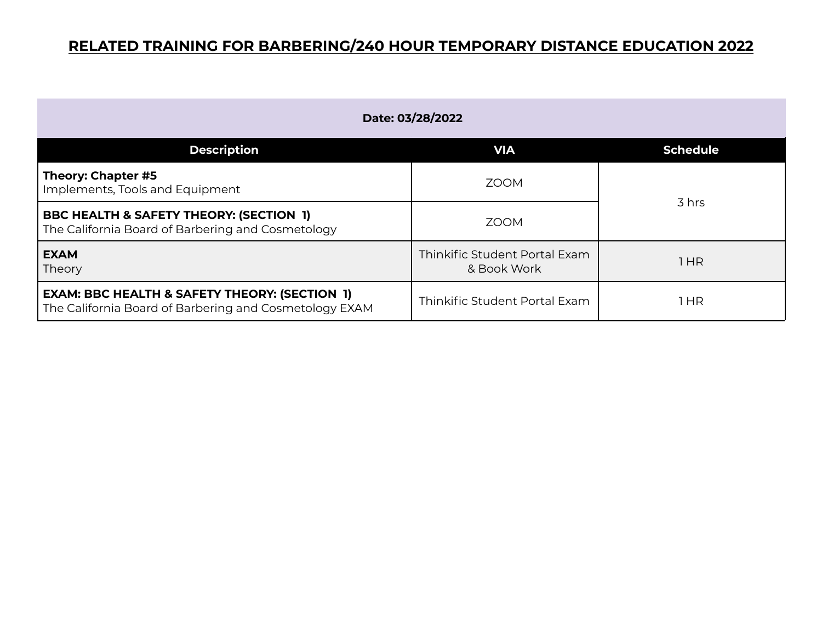| Date: 03/28/2022                                                                                                   |                                              |                 |
|--------------------------------------------------------------------------------------------------------------------|----------------------------------------------|-----------------|
| <b>Description</b>                                                                                                 | <b>VIA</b>                                   | <b>Schedule</b> |
| Theory: Chapter #5<br>Implements, Tools and Equipment                                                              | <b>ZOOM</b>                                  | 3 hrs           |
| <b>BBC HEALTH &amp; SAFETY THEORY: (SECTION 1)</b><br>The California Board of Barbering and Cosmetology            | <b>ZOOM</b>                                  |                 |
| <b>EXAM</b><br>Theory                                                                                              | Thinkific Student Portal Exam<br>& Book Work | 1HR             |
| <b>EXAM: BBC HEALTH &amp; SAFETY THEORY: (SECTION 1)</b><br>The California Board of Barbering and Cosmetology EXAM | Thinkific Student Portal Exam                | l HR            |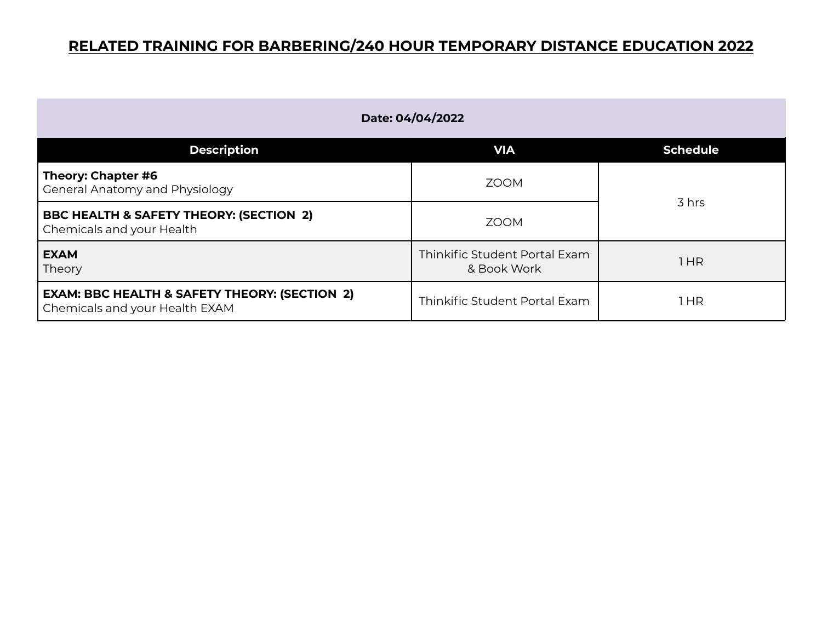| Date: 04/04/2022                                                                           |                                              |                 |
|--------------------------------------------------------------------------------------------|----------------------------------------------|-----------------|
| <b>Description</b>                                                                         | <b>VIA</b>                                   | <b>Schedule</b> |
| Theory: Chapter #6<br>General Anatomy and Physiology                                       | <b>ZOOM</b>                                  | 3 hrs           |
| <b>BBC HEALTH &amp; SAFETY THEORY: (SECTION 2)</b><br>Chemicals and your Health            | <b>ZOOM</b>                                  |                 |
| <b>EXAM</b><br>Theory                                                                      | Thinkific Student Portal Exam<br>& Book Work | 1HR             |
| <b>EXAM: BBC HEALTH &amp; SAFETY THEORY: (SECTION 2)</b><br>Chemicals and your Health EXAM | Thinkific Student Portal Exam                | HR              |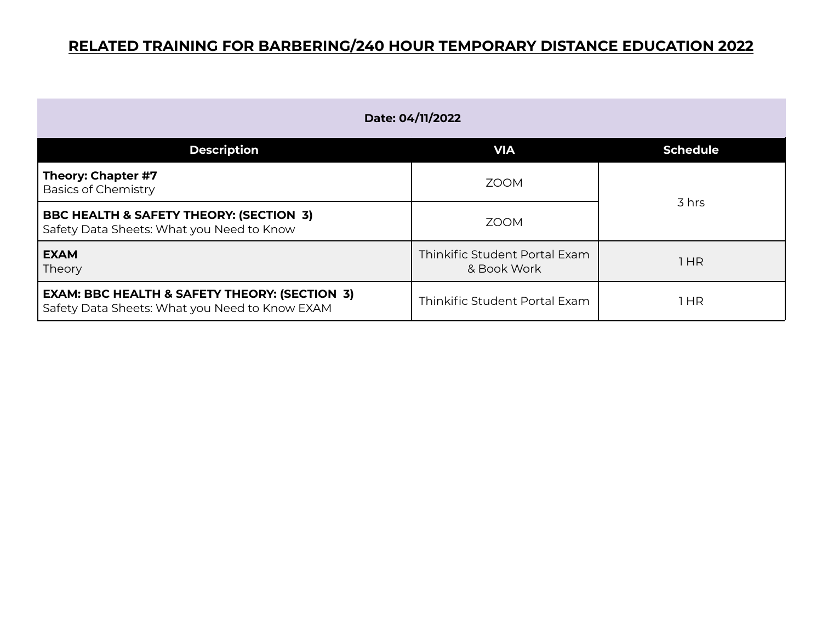| Date: 04/11/2022                                                                                           |                                              |                 |
|------------------------------------------------------------------------------------------------------------|----------------------------------------------|-----------------|
| <b>Description</b>                                                                                         | <b>VIA</b>                                   | <b>Schedule</b> |
| Theory: Chapter #7<br><b>Basics of Chemistry</b>                                                           | <b>ZOOM</b>                                  | 3 hrs           |
| BBC HEALTH & SAFETY THEORY: (SECTION 3)<br>Safety Data Sheets: What you Need to Know                       | <b>ZOOM</b>                                  |                 |
| <b>EXAM</b><br>Theory                                                                                      | Thinkific Student Portal Exam<br>& Book Work | 1HR             |
| <b>EXAM: BBC HEALTH &amp; SAFETY THEORY: (SECTION 3)</b><br>Safety Data Sheets: What you Need to Know EXAM | Thinkific Student Portal Exam                | l HR            |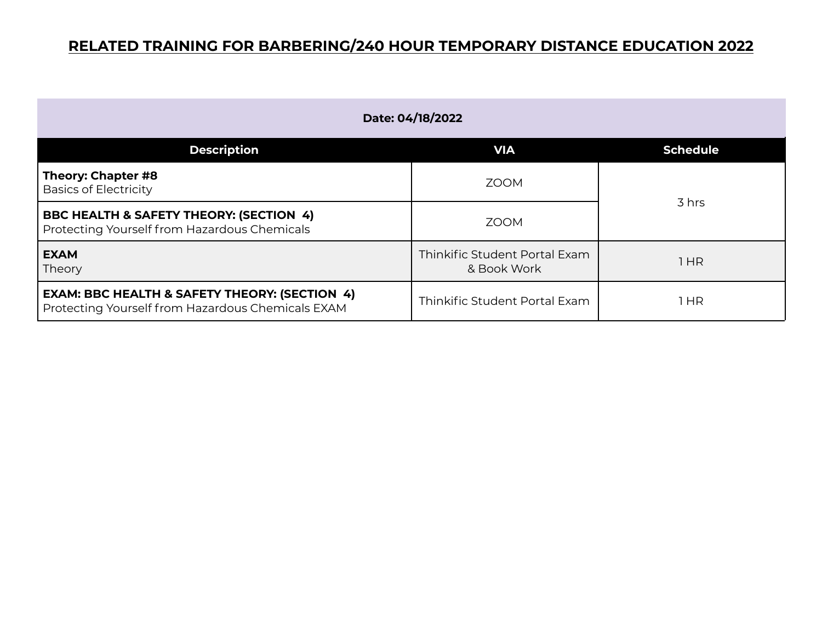| Date: 04/18/2022                                                                                              |                                              |                 |
|---------------------------------------------------------------------------------------------------------------|----------------------------------------------|-----------------|
| <b>Description</b>                                                                                            | <b>VIA</b>                                   | <b>Schedule</b> |
| Theory: Chapter #8<br><b>Basics of Electricity</b>                                                            | <b>ZOOM</b>                                  |                 |
| <b>BBC HEALTH &amp; SAFETY THEORY: (SECTION 4)</b><br>Protecting Yourself from Hazardous Chemicals            | <b>ZOOM</b>                                  | 3 hrs           |
| <b>EXAM</b><br>Theory                                                                                         | Thinkific Student Portal Exam<br>& Book Work | 1HR             |
| <b>EXAM: BBC HEALTH &amp; SAFETY THEORY: (SECTION 4)</b><br>Protecting Yourself from Hazardous Chemicals EXAM | Thinkific Student Portal Exam                | l HR            |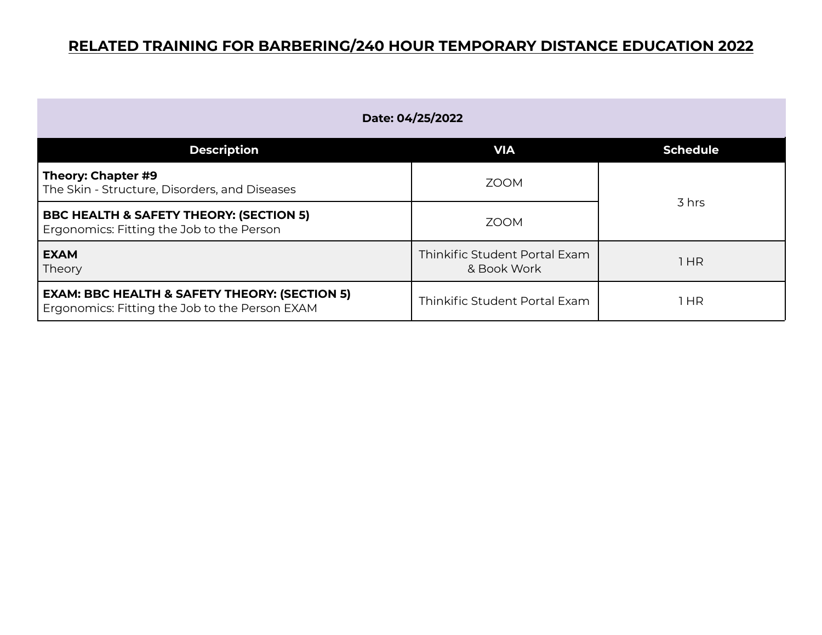| Date: 04/25/2022                                                                                           |                                              |                 |
|------------------------------------------------------------------------------------------------------------|----------------------------------------------|-----------------|
| <b>Description</b>                                                                                         | <b>VIA</b>                                   | <b>Schedule</b> |
| Theory: Chapter #9<br>The Skin - Structure, Disorders, and Diseases                                        | <b>ZOOM</b>                                  |                 |
| <b>BBC HEALTH &amp; SAFETY THEORY: (SECTION 5)</b><br>Ergonomics: Fitting the Job to the Person            | <b>ZOOM</b>                                  | 3 hrs           |
| <b>EXAM</b><br>Theory                                                                                      | Thinkific Student Portal Exam<br>& Book Work | 1HR             |
| <b>EXAM: BBC HEALTH &amp; SAFETY THEORY: (SECTION 5)</b><br>Ergonomics: Fitting the Job to the Person EXAM | Thinkific Student Portal Exam                | HR              |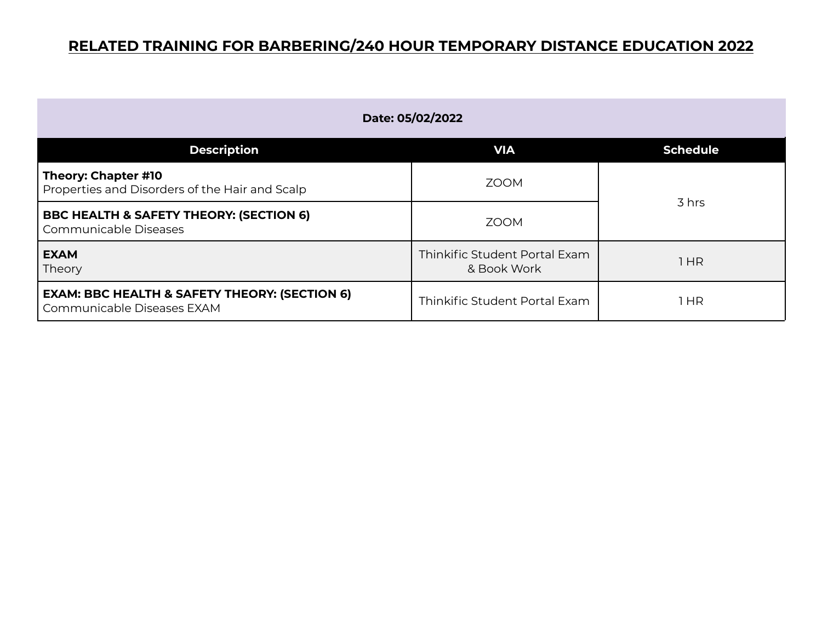| Date: 05/02/2022                                                                       |                                              |                 |
|----------------------------------------------------------------------------------------|----------------------------------------------|-----------------|
| <b>Description</b>                                                                     | <b>VIA</b>                                   | <b>Schedule</b> |
| Theory: Chapter #10<br>Properties and Disorders of the Hair and Scalp                  | <b>ZOOM</b>                                  |                 |
| <b>BBC HEALTH &amp; SAFETY THEORY: (SECTION 6)</b><br>Communicable Diseases            | <b>ZOOM</b>                                  | 3 hrs           |
| <b>EXAM</b><br>Theory                                                                  | Thinkific Student Portal Exam<br>& Book Work | 1 HR            |
| <b>EXAM: BBC HEALTH &amp; SAFETY THEORY: (SECTION 6)</b><br>Communicable Diseases EXAM | Thinkific Student Portal Exam                | 1 HR            |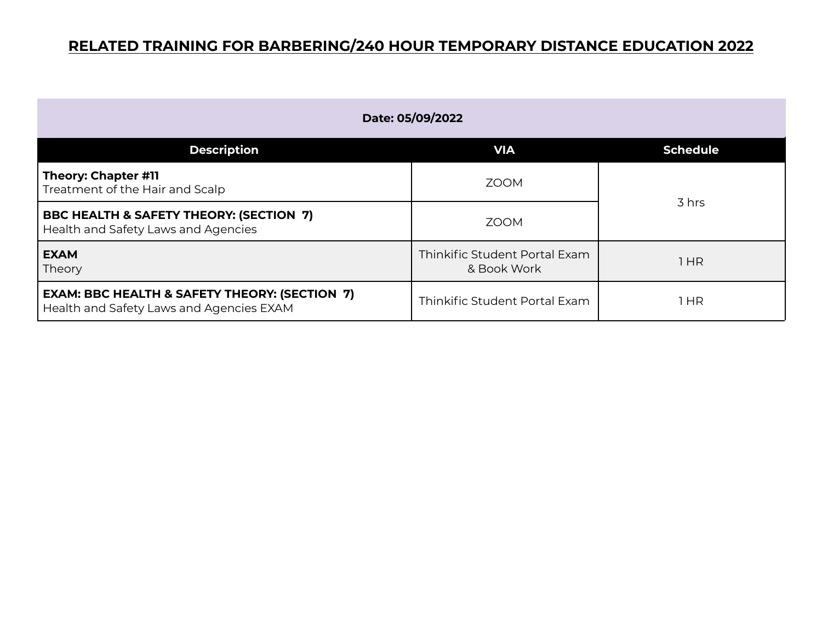| Date: 05/09/2022                                                                                     |                                              |                 |
|------------------------------------------------------------------------------------------------------|----------------------------------------------|-----------------|
| <b>Description</b>                                                                                   | <b>VIA</b>                                   | <b>Schedule</b> |
| Theory: Chapter #11<br>Treatment of the Hair and Scalp                                               | <b>ZOOM</b>                                  | 3 hrs           |
| BBC HEALTH & SAFETY THEORY: (SECTION 7)<br>Health and Safety Laws and Agencies                       | <b>ZOOM</b>                                  |                 |
| <b>EXAM</b><br>Theory                                                                                | Thinkific Student Portal Exam<br>& Book Work | 1HR             |
| <b>EXAM: BBC HEALTH &amp; SAFETY THEORY: (SECTION 7)</b><br>Health and Safety Laws and Agencies EXAM | Thinkific Student Portal Exam                | HR              |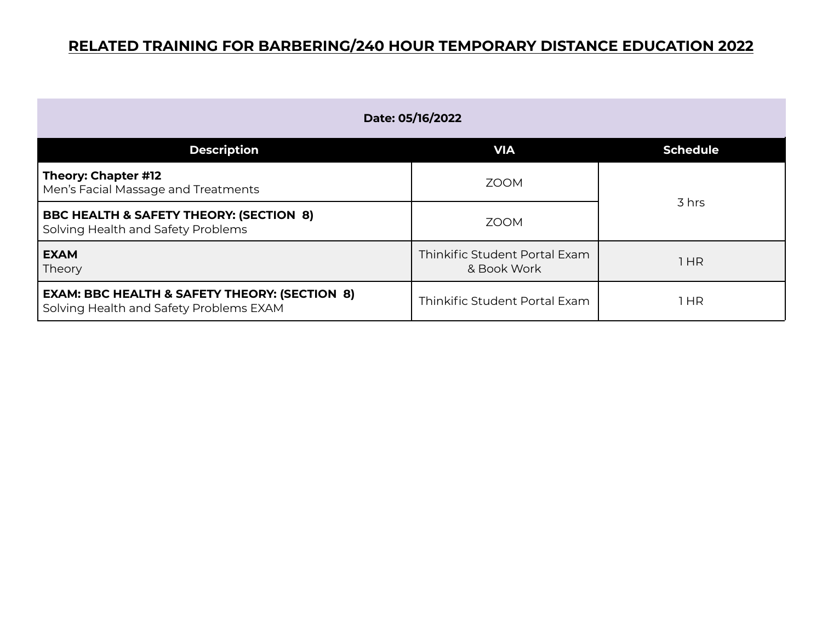| Date: 05/16/2022                                                                                    |                                              |                 |
|-----------------------------------------------------------------------------------------------------|----------------------------------------------|-----------------|
| <b>Description</b>                                                                                  | <b>VIA</b>                                   | <b>Schedule</b> |
| Theory: Chapter #12<br>Men's Facial Massage and Treatments                                          | <b>ZOOM</b>                                  | 3 hrs           |
| <b>BBC HEALTH &amp; SAFETY THEORY: (SECTION 8)</b><br>Solving Health and Safety Problems            | <b>ZOOM</b>                                  |                 |
| <b>EXAM</b><br>Theory                                                                               | Thinkific Student Portal Exam<br>& Book Work | 1HR             |
| <b>EXAM: BBC HEALTH &amp; SAFETY THEORY: (SECTION 8)</b><br>Solving Health and Safety Problems EXAM | Thinkific Student Portal Exam                | HR              |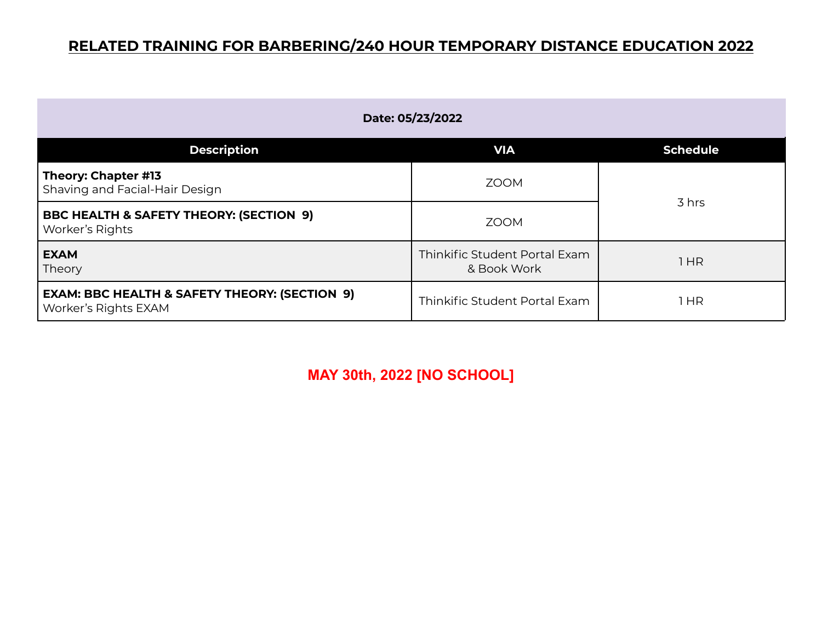| Date: 05/23/2022                                                                 |                                              |                 |
|----------------------------------------------------------------------------------|----------------------------------------------|-----------------|
| <b>Description</b>                                                               | <b>VIA</b>                                   | <b>Schedule</b> |
| Theory: Chapter #13<br>Shaving and Facial-Hair Design                            | <b>ZOOM</b>                                  | 3 hrs           |
| <b>BBC HEALTH &amp; SAFETY THEORY: (SECTION 9)</b><br>Worker's Rights            | <b>ZOOM</b>                                  |                 |
| <b>EXAM</b><br>Theory                                                            | Thinkific Student Portal Exam<br>& Book Work | 1 HR            |
| <b>EXAM: BBC HEALTH &amp; SAFETY THEORY: (SECTION 9)</b><br>Worker's Rights EXAM | Thinkific Student Portal Exam                | 1 HR            |

**MAY 30th, 2022 [NO SCHOOL]**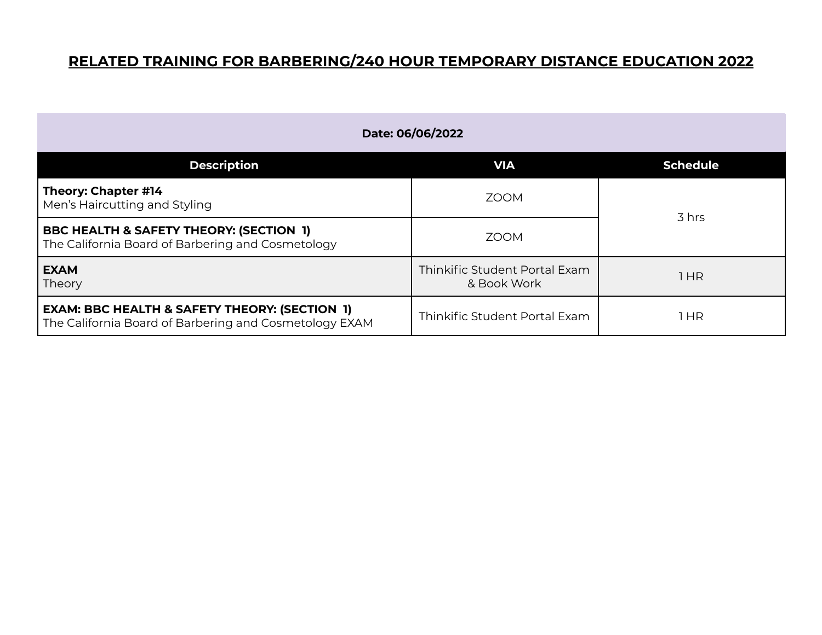| Date: 06/06/2022                                                                                                   |                                              |                 |
|--------------------------------------------------------------------------------------------------------------------|----------------------------------------------|-----------------|
| <b>Description</b>                                                                                                 | <b>VIA</b>                                   | <b>Schedule</b> |
| Theory: Chapter #14<br>Men's Haircutting and Styling                                                               | <b>ZOOM</b>                                  |                 |
| <b>BBC HEALTH &amp; SAFETY THEORY: (SECTION 1)</b><br>The California Board of Barbering and Cosmetology            | 700M                                         | 3 hrs           |
| <b>EXAM</b><br>Theory                                                                                              | Thinkific Student Portal Exam<br>& Book Work | 1 HR            |
| <b>EXAM: BBC HEALTH &amp; SAFETY THEORY: (SECTION 1)</b><br>The California Board of Barbering and Cosmetology EXAM | Thinkific Student Portal Exam                | 1 HR            |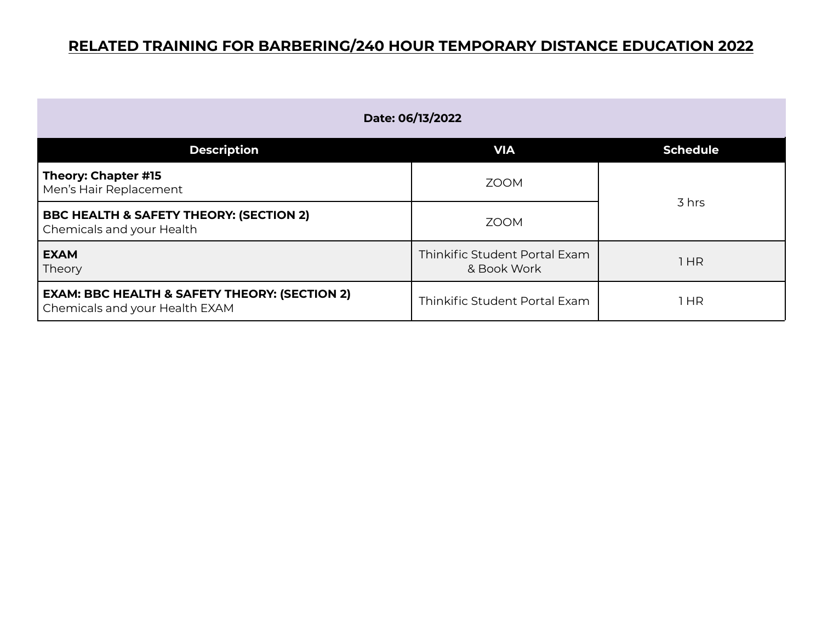| Date: 06/13/2022                                                                           |                                              |                 |
|--------------------------------------------------------------------------------------------|----------------------------------------------|-----------------|
| <b>Description</b>                                                                         | <b>VIA</b>                                   | <b>Schedule</b> |
| Theory: Chapter #15<br>Men's Hair Replacement                                              | <b>ZOOM</b>                                  |                 |
| <b>BBC HEALTH &amp; SAFETY THEORY: (SECTION 2)</b><br>Chemicals and your Health            | <b>ZOOM</b>                                  | 3 hrs           |
| <b>EXAM</b><br>Theory                                                                      | Thinkific Student Portal Exam<br>& Book Work | 1HR             |
| <b>EXAM: BBC HEALTH &amp; SAFETY THEORY: (SECTION 2)</b><br>Chemicals and your Health EXAM | Thinkific Student Portal Exam                | l HR            |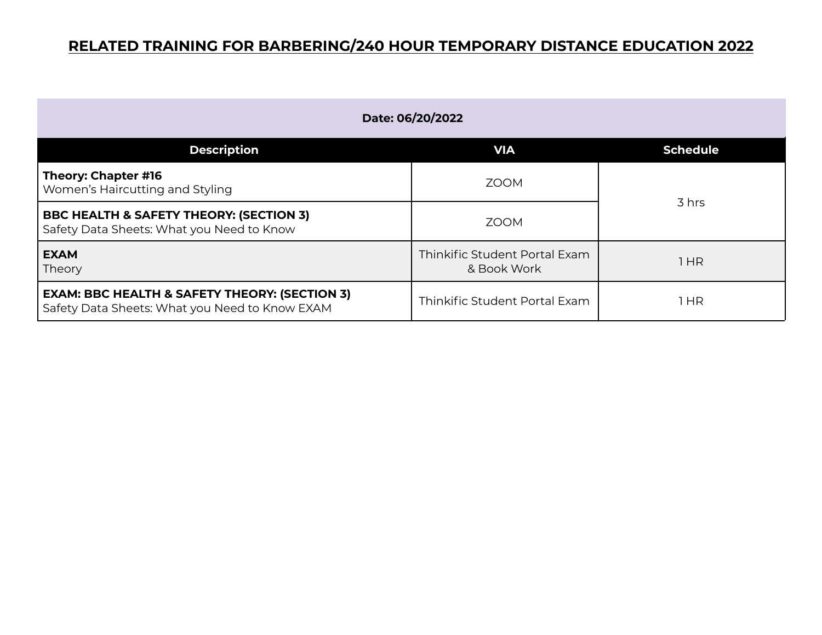| Date: 06/20/2022                                                                                           |                                              |                 |
|------------------------------------------------------------------------------------------------------------|----------------------------------------------|-----------------|
| <b>Description</b>                                                                                         | <b>VIA</b>                                   | <b>Schedule</b> |
| Theory: Chapter #16<br>Women's Haircutting and Styling                                                     | <b>ZOOM</b>                                  | 3 hrs           |
| <b>BBC HEALTH &amp; SAFETY THEORY: (SECTION 3)</b><br>Safety Data Sheets: What you Need to Know            | <b>ZOOM</b>                                  |                 |
| <b>EXAM</b><br>Theory                                                                                      | Thinkific Student Portal Exam<br>& Book Work | 1HR             |
| <b>EXAM: BBC HEALTH &amp; SAFETY THEORY: (SECTION 3)</b><br>Safety Data Sheets: What you Need to Know EXAM | Thinkific Student Portal Exam                | l HR            |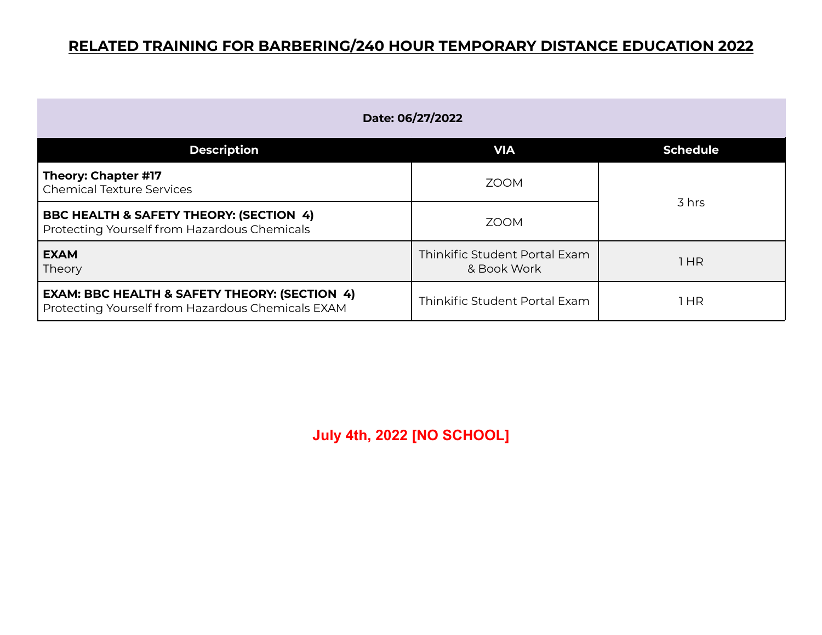| Date: 06/27/2022                                                                                              |                                              |                 |
|---------------------------------------------------------------------------------------------------------------|----------------------------------------------|-----------------|
| <b>Description</b>                                                                                            | <b>VIA</b>                                   | <b>Schedule</b> |
| Theory: Chapter #17<br>Chemical Texture Services                                                              | <b>ZOOM</b>                                  |                 |
| <b>BBC HEALTH &amp; SAFETY THEORY: (SECTION 4)</b><br>Protecting Yourself from Hazardous Chemicals            | <b>ZOOM</b>                                  | 3 hrs           |
| <b>EXAM</b><br>Theory                                                                                         | Thinkific Student Portal Exam<br>& Book Work | 1 HR            |
| <b>EXAM: BBC HEALTH &amp; SAFETY THEORY: (SECTION 4)</b><br>Protecting Yourself from Hazardous Chemicals EXAM | Thinkific Student Portal Exam                | 1 HR            |

**July 4th, 2022 [NO SCHOOL]**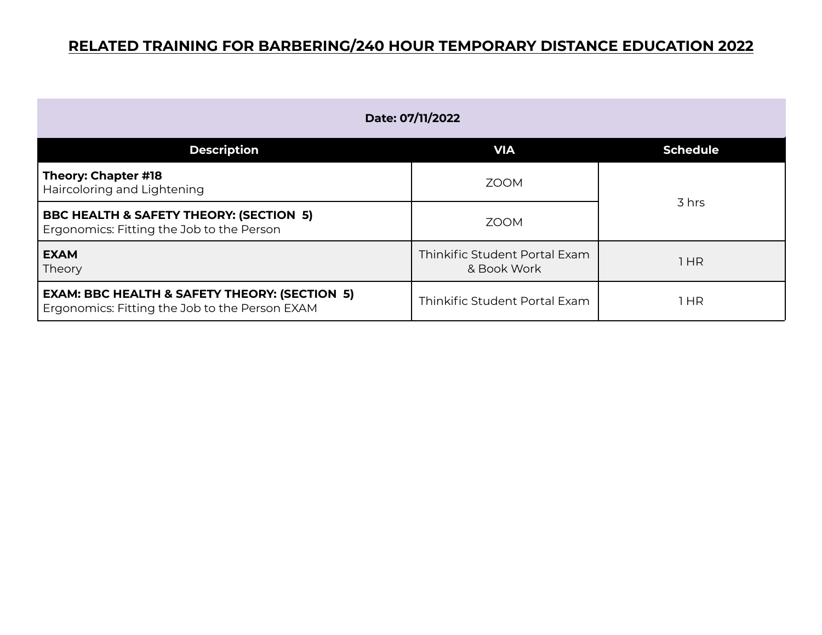| Date: 07/11/2022                                                                                           |                                              |                 |
|------------------------------------------------------------------------------------------------------------|----------------------------------------------|-----------------|
| <b>Description</b>                                                                                         | <b>VIA</b>                                   | <b>Schedule</b> |
| Theory: Chapter #18<br>Haircoloring and Lightening                                                         | <b>ZOOM</b>                                  | 3 hrs           |
| <b>BBC HEALTH &amp; SAFETY THEORY: (SECTION 5)</b><br>Ergonomics: Fitting the Job to the Person            | <b>ZOOM</b>                                  |                 |
| <b>EXAM</b><br>Theory                                                                                      | Thinkific Student Portal Exam<br>& Book Work | 1HR             |
| <b>EXAM: BBC HEALTH &amp; SAFETY THEORY: (SECTION 5)</b><br>Ergonomics: Fitting the Job to the Person EXAM | Thinkific Student Portal Exam                | HR              |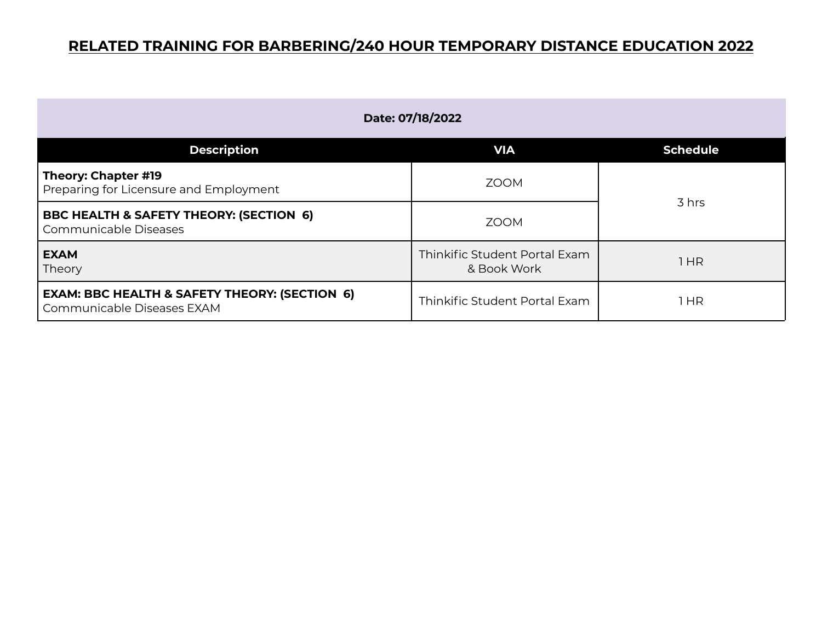| Date: 07/18/2022                                                                       |                                              |                 |
|----------------------------------------------------------------------------------------|----------------------------------------------|-----------------|
| <b>Description</b>                                                                     | <b>VIA</b>                                   | <b>Schedule</b> |
| Theory: Chapter #19<br>Preparing for Licensure and Employment                          | <b>ZOOM</b>                                  |                 |
| <b>BBC HEALTH &amp; SAFETY THEORY: (SECTION 6)</b><br>Communicable Diseases            | <b>ZOOM</b>                                  | 3 hrs           |
| <b>EXAM</b><br>Theory                                                                  | Thinkific Student Portal Exam<br>& Book Work | 1HR             |
| <b>EXAM: BBC HEALTH &amp; SAFETY THEORY: (SECTION 6)</b><br>Communicable Diseases EXAM | Thinkific Student Portal Exam                | HR              |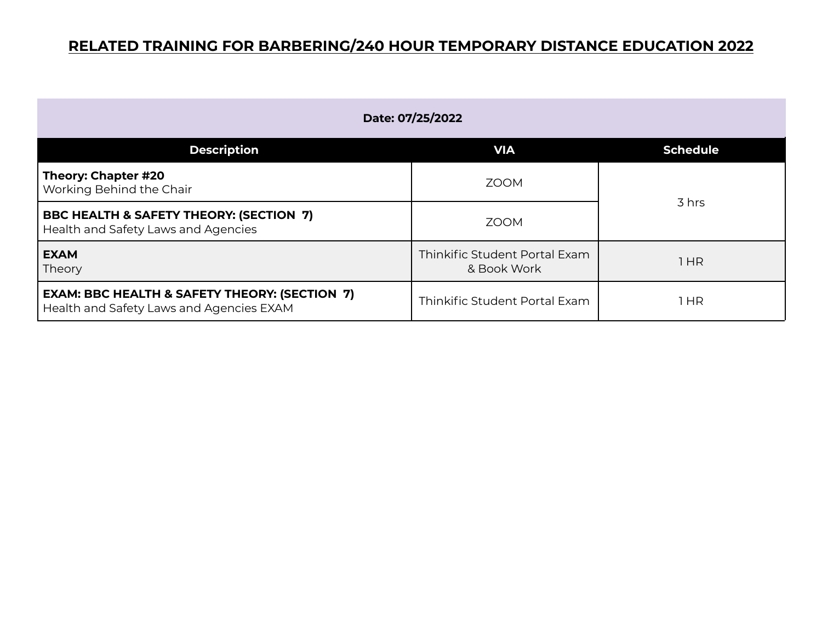| Date: 07/25/2022                                                                                     |                                              |                 |
|------------------------------------------------------------------------------------------------------|----------------------------------------------|-----------------|
| <b>Description</b>                                                                                   | <b>VIA</b>                                   | <b>Schedule</b> |
| Theory: Chapter #20<br>Working Behind the Chair                                                      | <b>ZOOM</b>                                  | 3 hrs           |
| BBC HEALTH & SAFETY THEORY: (SECTION 7)<br>Health and Safety Laws and Agencies                       | <b>ZOOM</b>                                  |                 |
| <b>EXAM</b><br>Theory                                                                                | Thinkific Student Portal Exam<br>& Book Work | 1HR             |
| <b>EXAM: BBC HEALTH &amp; SAFETY THEORY: (SECTION 7)</b><br>Health and Safety Laws and Agencies EXAM | Thinkific Student Portal Exam                | HR              |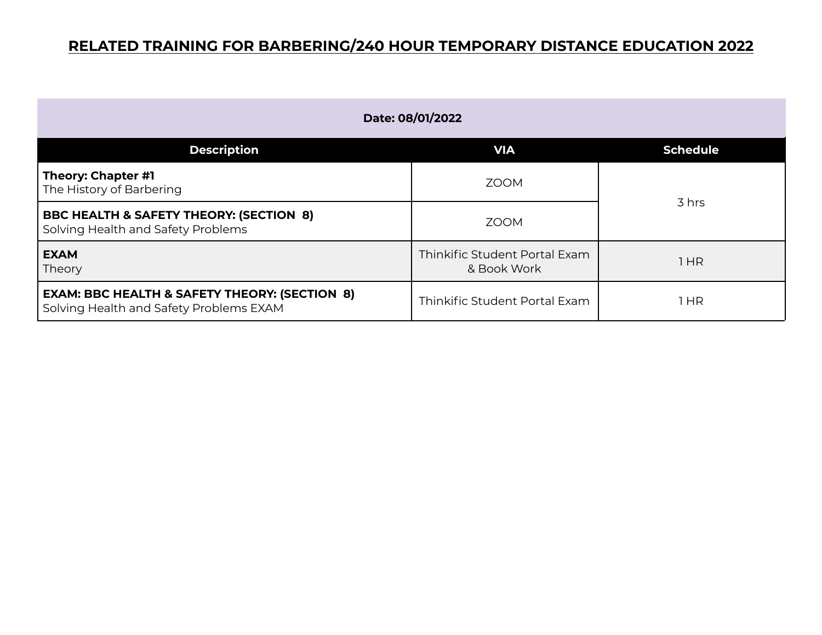| Date: 08/01/2022                                                                                    |                                              |                 |
|-----------------------------------------------------------------------------------------------------|----------------------------------------------|-----------------|
| <b>Description</b>                                                                                  | <b>VIA</b>                                   | <b>Schedule</b> |
| Theory: Chapter #1<br>The History of Barbering                                                      | <b>ZOOM</b>                                  |                 |
| <b>BBC HEALTH &amp; SAFETY THEORY: (SECTION 8)</b><br>Solving Health and Safety Problems            | <b>ZOOM</b>                                  | 3 hrs           |
| <b>EXAM</b><br>Theory                                                                               | Thinkific Student Portal Exam<br>& Book Work | 1HR             |
| <b>EXAM: BBC HEALTH &amp; SAFETY THEORY: (SECTION 8)</b><br>Solving Health and Safety Problems EXAM | Thinkific Student Portal Exam                | HR              |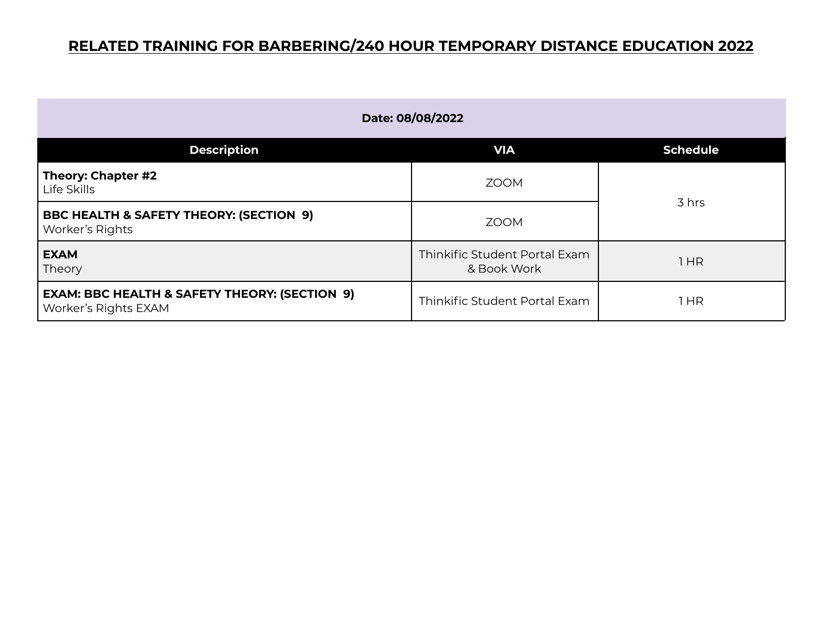| Date: 08/08/2022                                                                 |                                              |                 |
|----------------------------------------------------------------------------------|----------------------------------------------|-----------------|
| <b>Description</b>                                                               | <b>VIA</b>                                   | <b>Schedule</b> |
| Theory: Chapter #2<br>Life Skills                                                | <b>ZOOM</b>                                  | 3 hrs           |
| <b>BBC HEALTH &amp; SAFETY THEORY: (SECTION 9)</b><br>Worker's Rights            | <b>ZOOM</b>                                  |                 |
| <b>EXAM</b><br>Theory                                                            | Thinkific Student Portal Exam<br>& Book Work | 1 HR            |
| <b>EXAM: BBC HEALTH &amp; SAFETY THEORY: (SECTION 9)</b><br>Worker's Rights EXAM | Thinkific Student Portal Exam                | 1 HR            |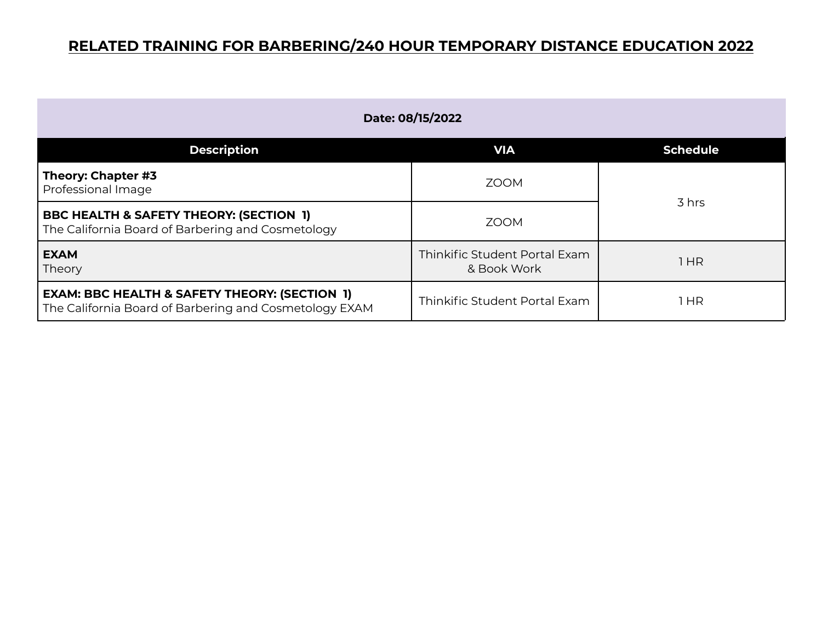| Date: 08/15/2022                                                                                                   |                                              |                 |
|--------------------------------------------------------------------------------------------------------------------|----------------------------------------------|-----------------|
| <b>Description</b>                                                                                                 | <b>VIA</b>                                   | <b>Schedule</b> |
| Theory: Chapter #3<br>Professional Image                                                                           | <b>ZOOM</b>                                  |                 |
| <b>BBC HEALTH &amp; SAFETY THEORY: (SECTION 1)</b><br>The California Board of Barbering and Cosmetology            | <b>ZOOM</b>                                  | 3 hrs           |
| <b>EXAM</b><br>Theory                                                                                              | Thinkific Student Portal Exam<br>& Book Work | 1HR             |
| <b>EXAM: BBC HEALTH &amp; SAFETY THEORY: (SECTION 1)</b><br>The California Board of Barbering and Cosmetology EXAM | Thinkific Student Portal Exam                | 1 HR            |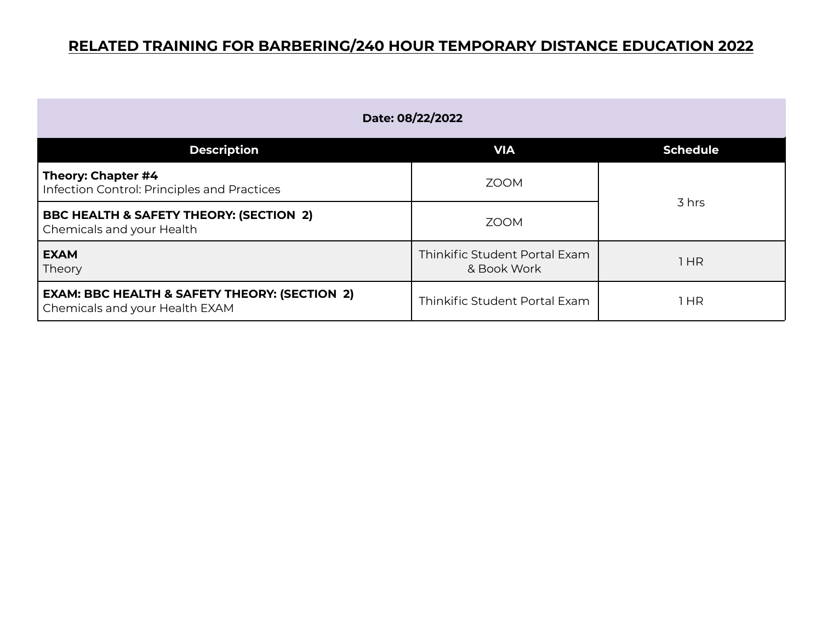| Date: 08/22/2022                                                                           |                                              |                 |
|--------------------------------------------------------------------------------------------|----------------------------------------------|-----------------|
| <b>Description</b>                                                                         | <b>VIA</b>                                   | <b>Schedule</b> |
| Theory: Chapter #4<br>Infection Control: Principles and Practices                          | <b>ZOOM</b>                                  | 3 hrs           |
| <b>BBC HEALTH &amp; SAFETY THEORY: (SECTION 2)</b><br>Chemicals and your Health            | <b>ZOOM</b>                                  |                 |
| <b>EXAM</b><br>Theory                                                                      | Thinkific Student Portal Exam<br>& Book Work | 1 HR            |
| <b>EXAM: BBC HEALTH &amp; SAFETY THEORY: (SECTION 2)</b><br>Chemicals and your Health EXAM | Thinkific Student Portal Exam                | 1 HR            |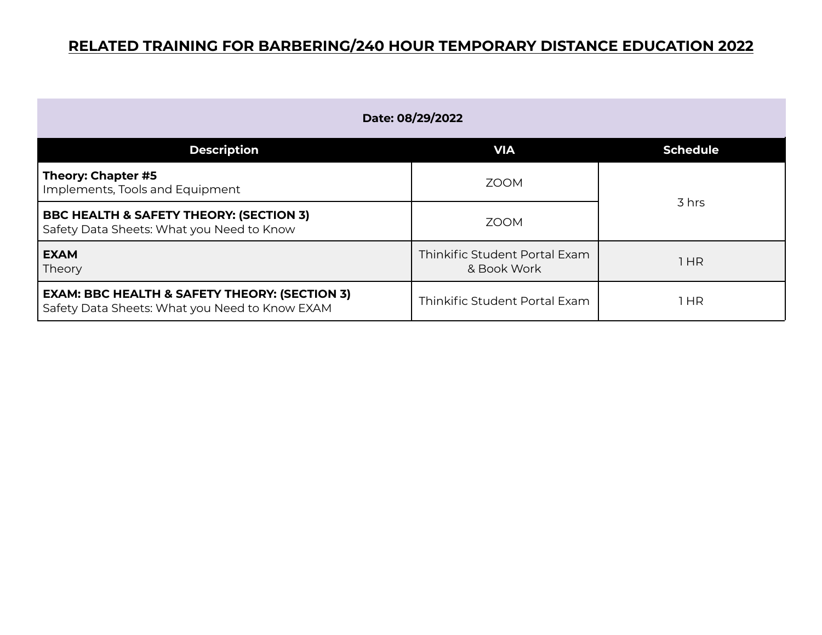| Date: 08/29/2022                                                                                           |                                              |                 |
|------------------------------------------------------------------------------------------------------------|----------------------------------------------|-----------------|
| <b>Description</b>                                                                                         | <b>VIA</b>                                   | <b>Schedule</b> |
| Theory: Chapter #5<br>Implements, Tools and Equipment                                                      | <b>ZOOM</b>                                  | 3 hrs           |
| <b>BBC HEALTH &amp; SAFETY THEORY: (SECTION 3)</b><br>Safety Data Sheets: What you Need to Know            | <b>ZOOM</b>                                  |                 |
| <b>EXAM</b><br>Theory                                                                                      | Thinkific Student Portal Exam<br>& Book Work | 1HR             |
| <b>EXAM: BBC HEALTH &amp; SAFETY THEORY: (SECTION 3)</b><br>Safety Data Sheets: What you Need to Know EXAM | Thinkific Student Portal Exam                | l HR            |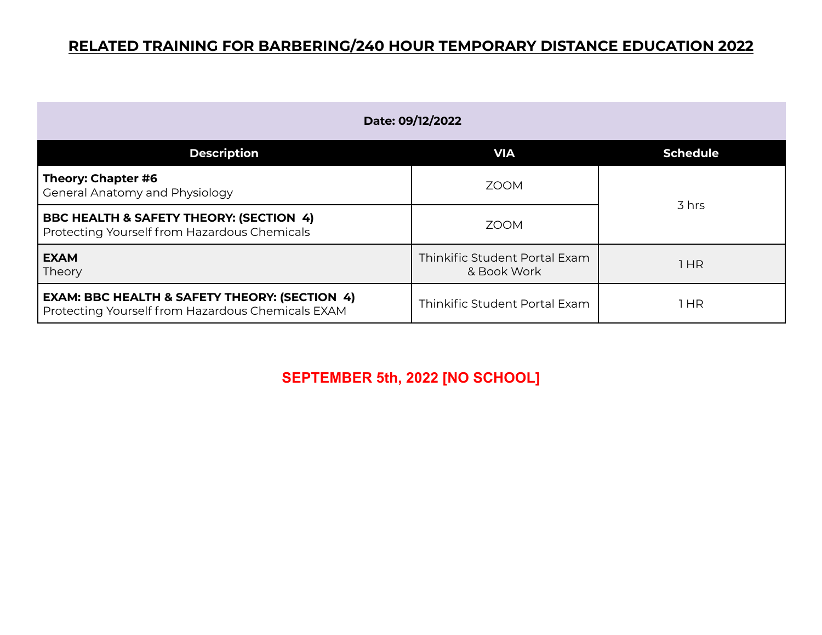| Date: 09/12/2022                                                                                              |                                              |                 |
|---------------------------------------------------------------------------------------------------------------|----------------------------------------------|-----------------|
| <b>Description</b>                                                                                            | <b>VIA</b>                                   | <b>Schedule</b> |
| Theory: Chapter #6<br><b>General Anatomy and Physiology</b>                                                   | <b>ZOOM</b>                                  |                 |
| BBC HEALTH & SAFETY THEORY: (SECTION 4)<br>Protecting Yourself from Hazardous Chemicals                       | <b>ZOOM</b>                                  | 3 hrs           |
| <b>EXAM</b><br>Theory                                                                                         | Thinkific Student Portal Exam<br>& Book Work | 1HR             |
| <b>EXAM: BBC HEALTH &amp; SAFETY THEORY: (SECTION 4)</b><br>Protecting Yourself from Hazardous Chemicals EXAM | Thinkific Student Portal Exam                | 1 HR            |

**SEPTEMBER 5th, 2022 [NO SCHOOL]**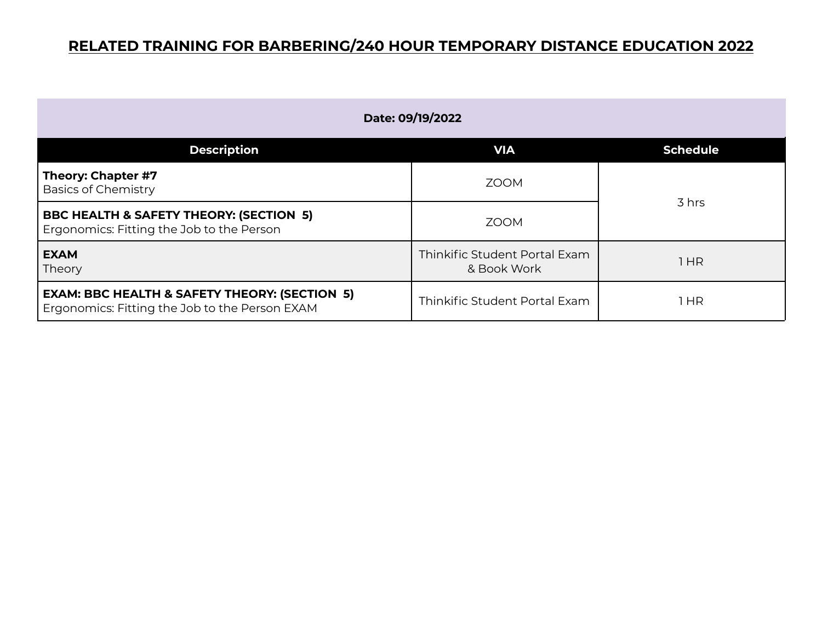| Date: 09/19/2022                                                                                           |                                              |                 |
|------------------------------------------------------------------------------------------------------------|----------------------------------------------|-----------------|
| <b>Description</b>                                                                                         | <b>VIA</b>                                   | <b>Schedule</b> |
| Theory: Chapter #7<br><b>Basics of Chemistry</b>                                                           | <b>ZOOM</b>                                  | 3 hrs           |
| <b>BBC HEALTH &amp; SAFETY THEORY: (SECTION 5)</b><br>Ergonomics: Fitting the Job to the Person            | <b>ZOOM</b>                                  |                 |
| <b>EXAM</b><br>Theory                                                                                      | Thinkific Student Portal Exam<br>& Book Work | 1HR             |
| <b>EXAM: BBC HEALTH &amp; SAFETY THEORY: (SECTION 5)</b><br>Ergonomics: Fitting the Job to the Person EXAM | Thinkific Student Portal Exam                | l HR            |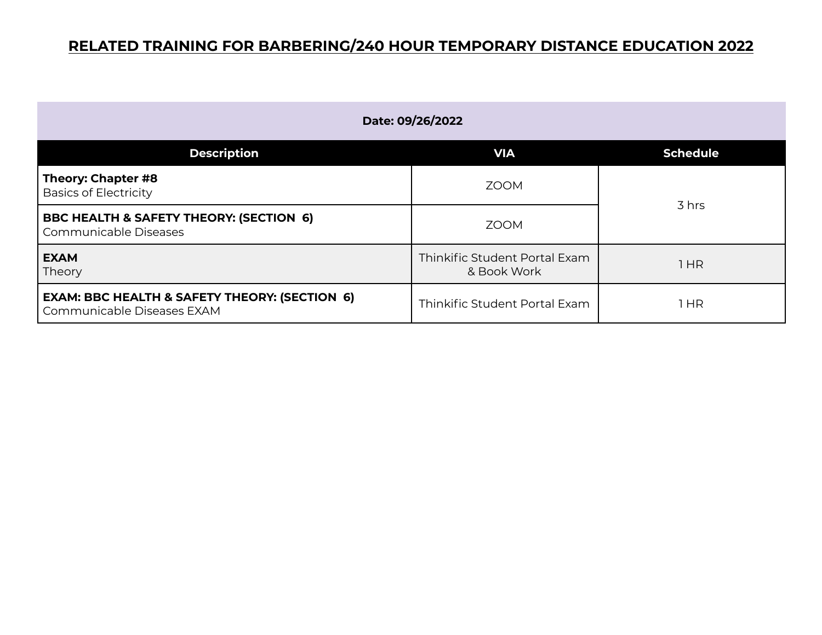| Date: 09/26/2022                                                                       |                                              |                 |
|----------------------------------------------------------------------------------------|----------------------------------------------|-----------------|
| <b>Description</b>                                                                     | <b>VIA</b>                                   | <b>Schedule</b> |
| Theory: Chapter #8<br><b>Basics of Electricity</b>                                     | <b>ZOOM</b>                                  |                 |
| <b>BBC HEALTH &amp; SAFETY THEORY: (SECTION 6)</b><br>Communicable Diseases            | <b>ZOOM</b>                                  | 3 hrs           |
| <b>EXAM</b><br>Theory                                                                  | Thinkific Student Portal Exam<br>& Book Work | 1 HR            |
| <b>EXAM: BBC HEALTH &amp; SAFETY THEORY: (SECTION 6)</b><br>Communicable Diseases EXAM | Thinkific Student Portal Exam                | <b>HR</b>       |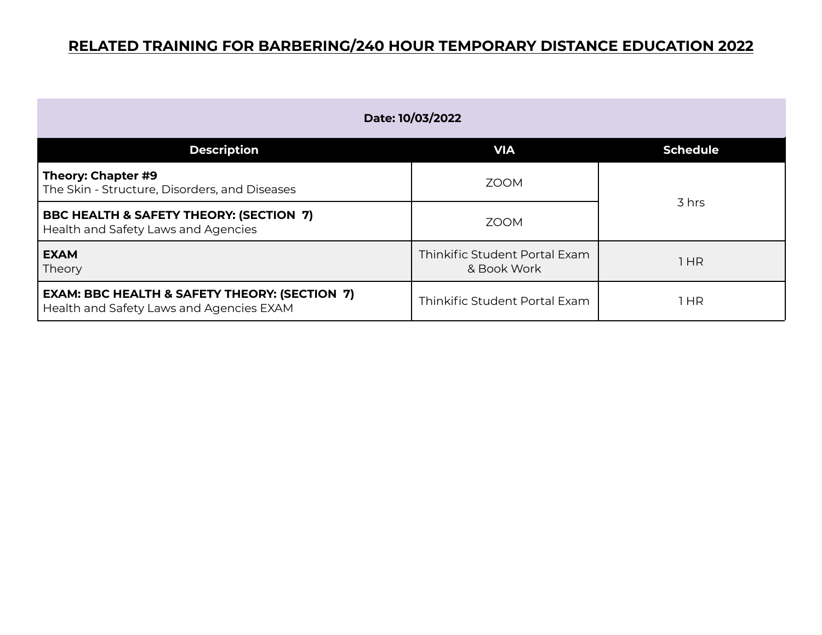| Date: 10/03/2022                                                                                     |                                              |                 |
|------------------------------------------------------------------------------------------------------|----------------------------------------------|-----------------|
| <b>Description</b>                                                                                   | <b>VIA</b>                                   | <b>Schedule</b> |
| Theory: Chapter #9<br>The Skin - Structure, Disorders, and Diseases                                  | <b>ZOOM</b>                                  |                 |
| BBC HEALTH & SAFETY THEORY: (SECTION 7)<br>Health and Safety Laws and Agencies                       | <b>ZOOM</b>                                  | 3 hrs           |
| <b>EXAM</b><br>Theory                                                                                | Thinkific Student Portal Exam<br>& Book Work | 1HR             |
| <b>EXAM: BBC HEALTH &amp; SAFETY THEORY: (SECTION 7)</b><br>Health and Safety Laws and Agencies EXAM | Thinkific Student Portal Exam                | HR              |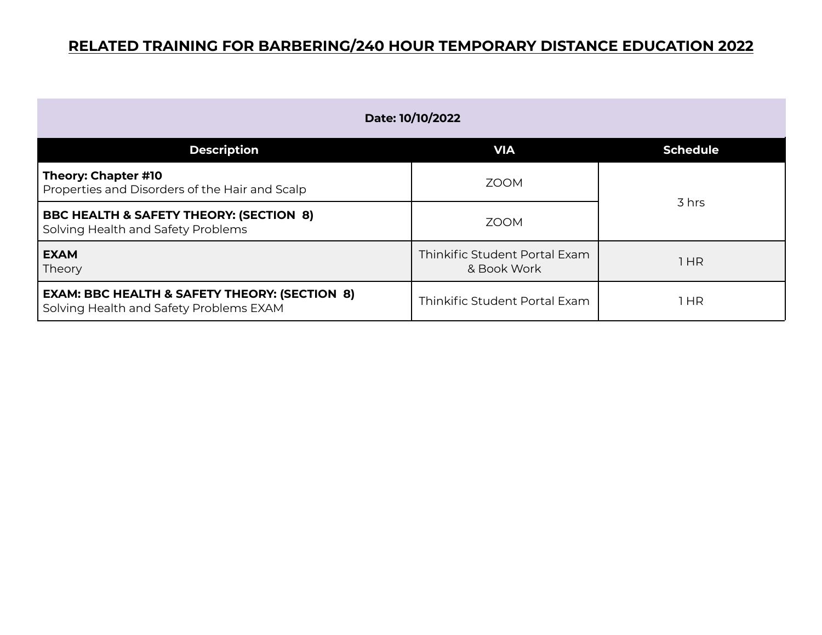| Date: 10/10/2022                                                                                    |                                              |                 |
|-----------------------------------------------------------------------------------------------------|----------------------------------------------|-----------------|
| <b>Description</b>                                                                                  | <b>VIA</b>                                   | <b>Schedule</b> |
| Theory: Chapter #10<br>Properties and Disorders of the Hair and Scalp                               | <b>ZOOM</b>                                  | 3 hrs           |
| <b>BBC HEALTH &amp; SAFETY THEORY: (SECTION 8)</b><br>Solving Health and Safety Problems            | <b>ZOOM</b>                                  |                 |
| <b>EXAM</b><br>Theory                                                                               | Thinkific Student Portal Exam<br>& Book Work | 1HR             |
| <b>EXAM: BBC HEALTH &amp; SAFETY THEORY: (SECTION 8)</b><br>Solving Health and Safety Problems EXAM | Thinkific Student Portal Exam                | 1 HR            |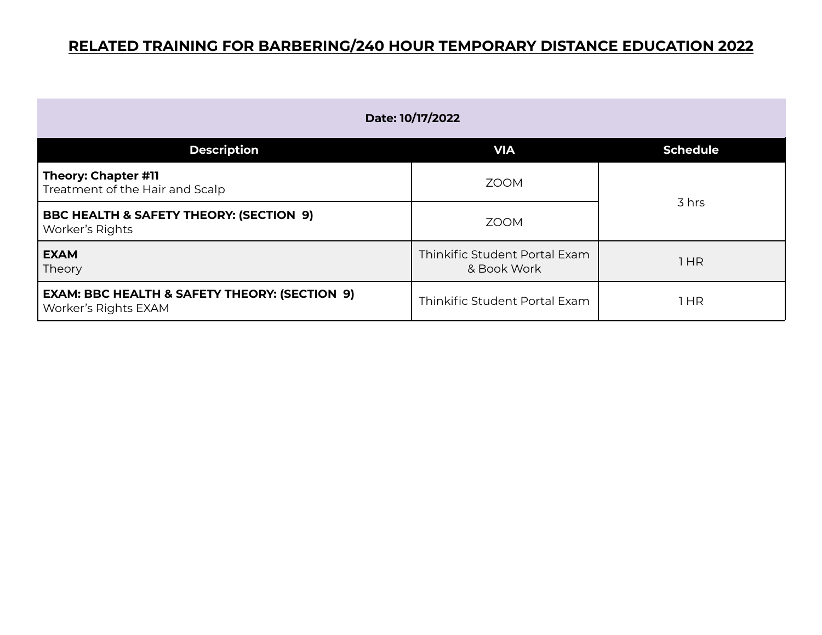| Date: 10/17/2022                                                                        |                                              |                 |
|-----------------------------------------------------------------------------------------|----------------------------------------------|-----------------|
| <b>Description</b>                                                                      | <b>VIA</b>                                   | <b>Schedule</b> |
| Theory: Chapter #11<br>Treatment of the Hair and Scalp                                  | <b>ZOOM</b>                                  | 3 hrs           |
| <b>BBC HEALTH &amp; SAFETY THEORY: (SECTION 9)</b><br>Worker's Rights                   | <b>ZOOM</b>                                  |                 |
| <b>EXAM</b><br>Theory                                                                   | Thinkific Student Portal Exam<br>& Book Work | 1 HR            |
| <b>EXAM: BBC HEALTH &amp; SAFETY THEORY: (SECTION 9)</b><br><b>Worker's Rights EXAM</b> | Thinkific Student Portal Exam                | 1 HR            |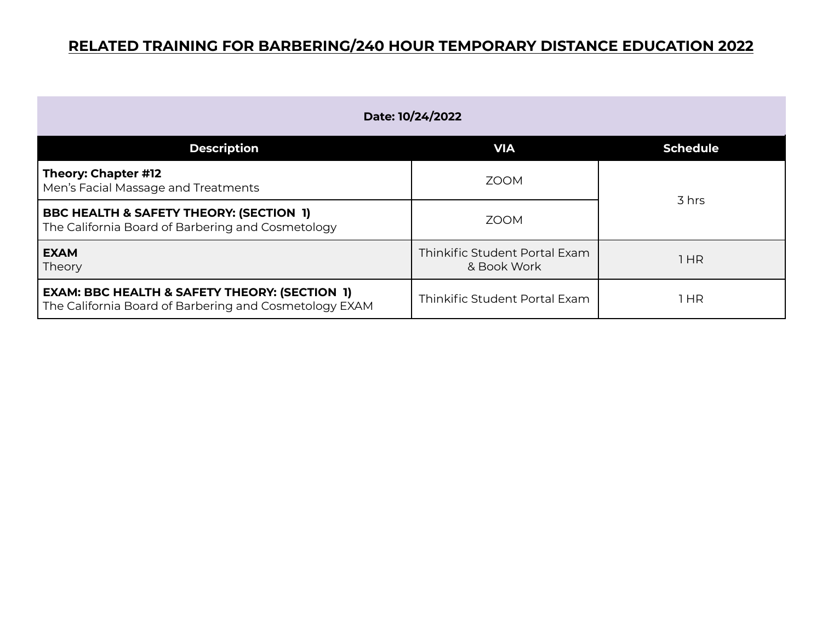| Date: 10/24/2022                                                                                                   |                                              |                 |
|--------------------------------------------------------------------------------------------------------------------|----------------------------------------------|-----------------|
| <b>Description</b>                                                                                                 | <b>VIA</b>                                   | <b>Schedule</b> |
| Theory: Chapter #12<br>Men's Facial Massage and Treatments                                                         | <b>ZOOM</b>                                  | 3 hrs           |
| <b>BBC HEALTH &amp; SAFETY THEORY: (SECTION 1)</b><br>The California Board of Barbering and Cosmetology            | 700M                                         |                 |
| <b>EXAM</b><br>Theory                                                                                              | Thinkific Student Portal Exam<br>& Book Work | 1HR             |
| <b>EXAM: BBC HEALTH &amp; SAFETY THEORY: (SECTION 1)</b><br>The California Board of Barbering and Cosmetology EXAM | Thinkific Student Portal Exam                | HR              |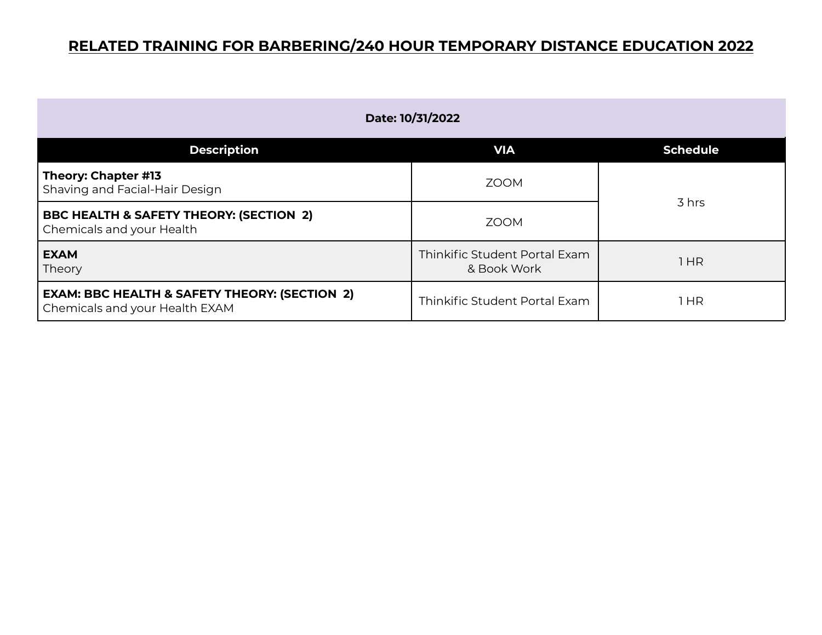| Date: 10/31/2022                                                                           |                                              |                 |
|--------------------------------------------------------------------------------------------|----------------------------------------------|-----------------|
| <b>Description</b>                                                                         | <b>VIA</b>                                   | <b>Schedule</b> |
| Theory: Chapter #13<br>Shaving and Facial-Hair Design                                      | <b>ZOOM</b>                                  | 3 hrs           |
| <b>BBC HEALTH &amp; SAFETY THEORY: (SECTION 2)</b><br>Chemicals and your Health            | <b>ZOOM</b>                                  |                 |
| <b>EXAM</b><br>Theory                                                                      | Thinkific Student Portal Exam<br>& Book Work | 1HR             |
| <b>EXAM: BBC HEALTH &amp; SAFETY THEORY: (SECTION 2)</b><br>Chemicals and your Health EXAM | Thinkific Student Portal Exam                | 1 HR            |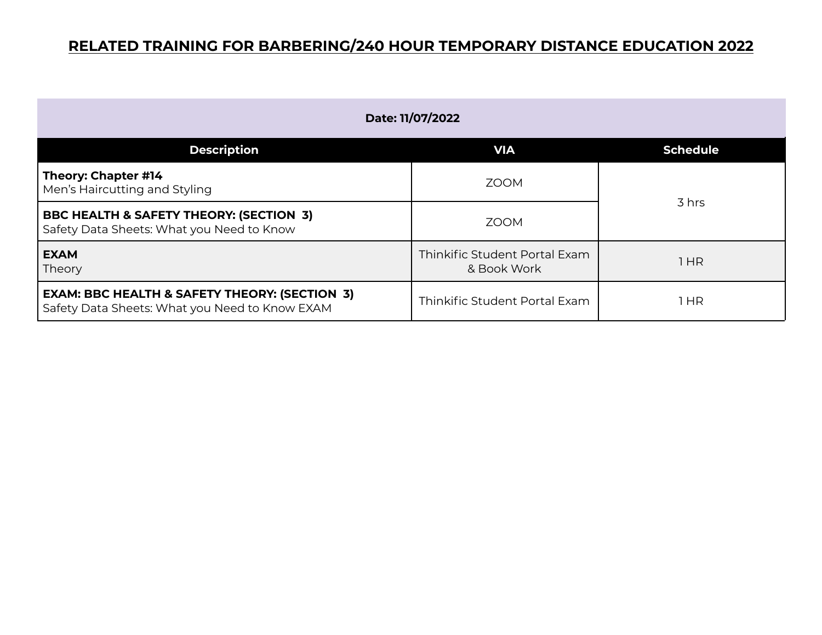| Date: 11/07/2022                                                                                           |                                              |                 |
|------------------------------------------------------------------------------------------------------------|----------------------------------------------|-----------------|
| <b>Description</b>                                                                                         | <b>VIA</b>                                   | <b>Schedule</b> |
| Theory: Chapter #14<br>Men's Haircutting and Styling                                                       | <b>ZOOM</b>                                  | 3 hrs           |
| BBC HEALTH & SAFETY THEORY: (SECTION 3)<br>Safety Data Sheets: What you Need to Know                       | <b>ZOOM</b>                                  |                 |
| <b>EXAM</b><br>Theory                                                                                      | Thinkific Student Portal Exam<br>& Book Work | 1HR             |
| <b>EXAM: BBC HEALTH &amp; SAFETY THEORY: (SECTION 3)</b><br>Safety Data Sheets: What you Need to Know EXAM | Thinkific Student Portal Exam                | HR              |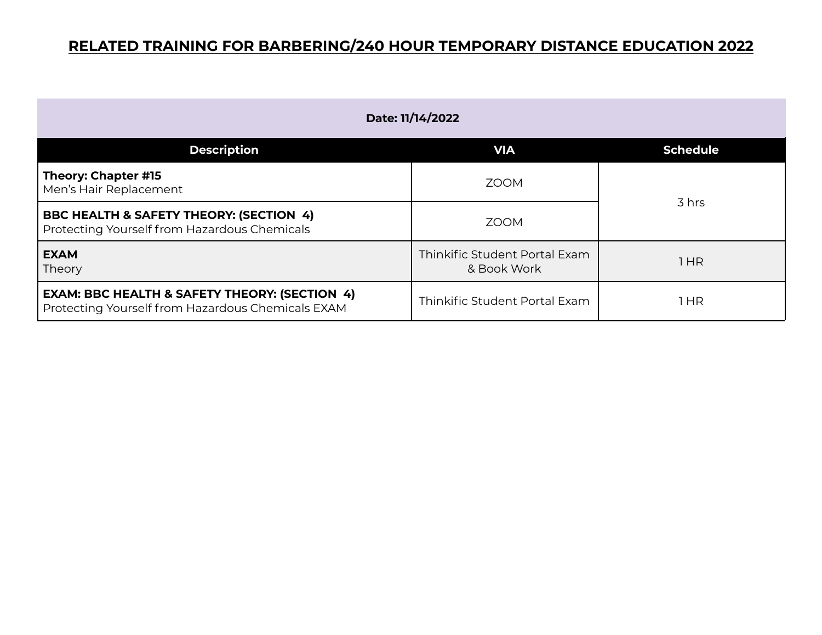| Date: 11/14/2022                                                                                              |                                              |                 |
|---------------------------------------------------------------------------------------------------------------|----------------------------------------------|-----------------|
| <b>Description</b>                                                                                            | <b>VIA</b>                                   | <b>Schedule</b> |
| Theory: Chapter #15<br>Men's Hair Replacement                                                                 | <b>ZOOM</b>                                  | 3 hrs           |
| <b>BBC HEALTH &amp; SAFETY THEORY: (SECTION 4)</b><br>Protecting Yourself from Hazardous Chemicals            | <b>ZOOM</b>                                  |                 |
| <b>EXAM</b><br>Theory                                                                                         | Thinkific Student Portal Exam<br>& Book Work | 1HR             |
| <b>EXAM: BBC HEALTH &amp; SAFETY THEORY: (SECTION 4)</b><br>Protecting Yourself from Hazardous Chemicals EXAM | Thinkific Student Portal Exam                | HR              |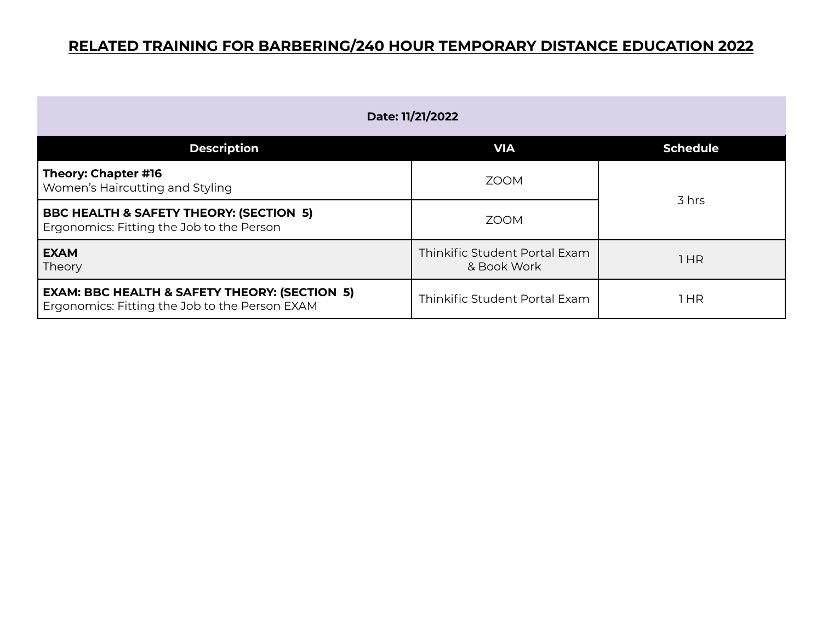| Date: 11/21/2022                                                                                           |                                              |                 |
|------------------------------------------------------------------------------------------------------------|----------------------------------------------|-----------------|
| <b>Description</b>                                                                                         | <b>VIA</b>                                   | <b>Schedule</b> |
| Theory: Chapter #16<br>Women's Haircutting and Styling                                                     | <b>ZOOM</b>                                  | 3 hrs           |
| <b>BBC HEALTH &amp; SAFETY THEORY: (SECTION 5)</b><br>Ergonomics: Fitting the Job to the Person            | <b>ZOOM</b>                                  |                 |
| <b>EXAM</b><br>Theory                                                                                      | Thinkific Student Portal Exam<br>& Book Work | 1 HR            |
| <b>EXAM: BBC HEALTH &amp; SAFETY THEORY: (SECTION 5)</b><br>Ergonomics: Fitting the Job to the Person EXAM | Thinkific Student Portal Exam                | 1 HR            |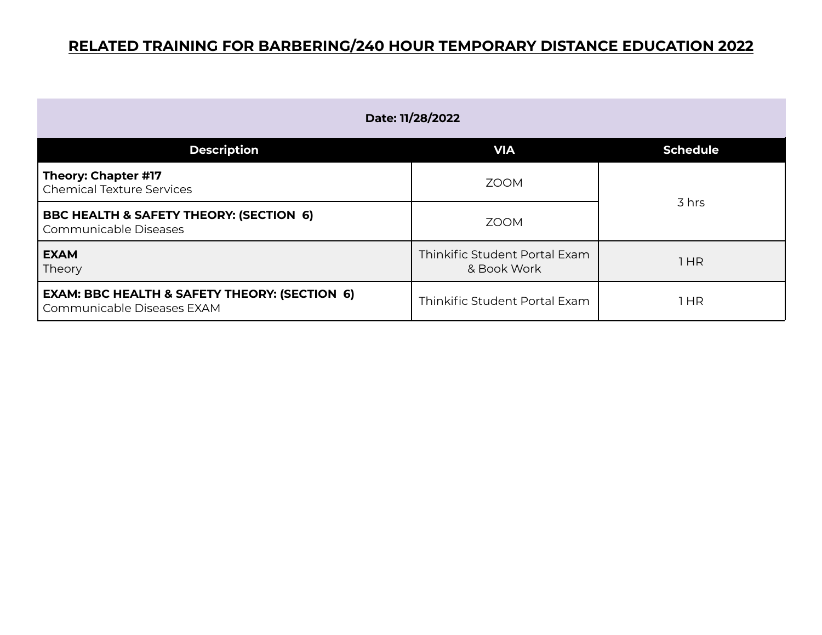| Date: 11/28/2022                                                                       |                                              |                 |
|----------------------------------------------------------------------------------------|----------------------------------------------|-----------------|
| <b>Description</b>                                                                     | <b>VIA</b>                                   | <b>Schedule</b> |
| Theory: Chapter #17<br><b>Chemical Texture Services</b>                                | <b>ZOOM</b>                                  | 3 hrs           |
| <b>BBC HEALTH &amp; SAFETY THEORY: (SECTION 6)</b><br>Communicable Diseases            | <b>ZOOM</b>                                  |                 |
| <b>EXAM</b><br>Theory                                                                  | Thinkific Student Portal Exam<br>& Book Work | 1 HR            |
| <b>EXAM: BBC HEALTH &amp; SAFETY THEORY: (SECTION 6)</b><br>Communicable Diseases EXAM | Thinkific Student Portal Exam                | 1 HR            |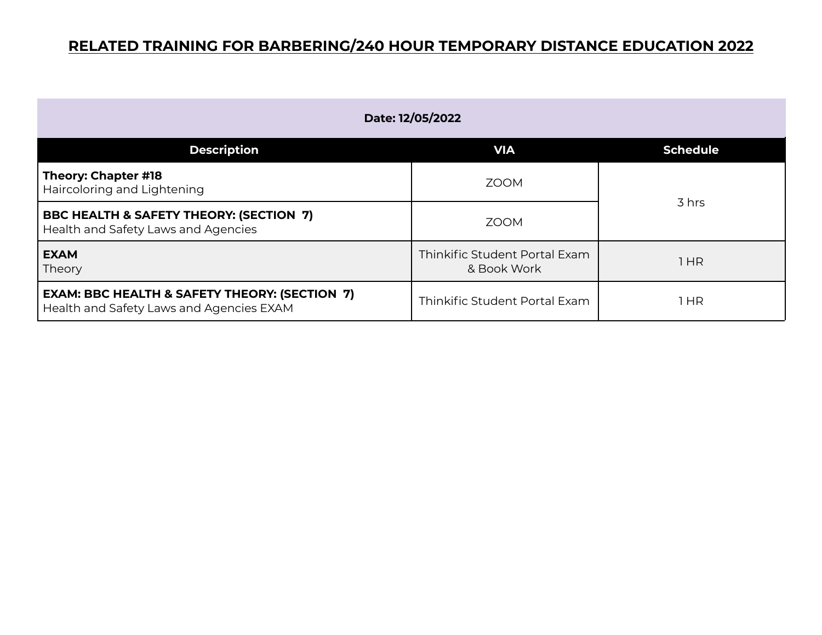| Date: 12/05/2022                                                                                     |                                              |                 |
|------------------------------------------------------------------------------------------------------|----------------------------------------------|-----------------|
| <b>Description</b>                                                                                   | <b>VIA</b>                                   | <b>Schedule</b> |
| Theory: Chapter #18<br>Haircoloring and Lightening                                                   | <b>ZOOM</b>                                  | 3 hrs           |
| BBC HEALTH & SAFETY THEORY: (SECTION 7)<br>Health and Safety Laws and Agencies                       | <b>ZOOM</b>                                  |                 |
| <b>EXAM</b><br>Theory                                                                                | Thinkific Student Portal Exam<br>& Book Work | 1HR             |
| <b>EXAM: BBC HEALTH &amp; SAFETY THEORY: (SECTION 7)</b><br>Health and Safety Laws and Agencies EXAM | Thinkific Student Portal Exam                | 1 HR            |